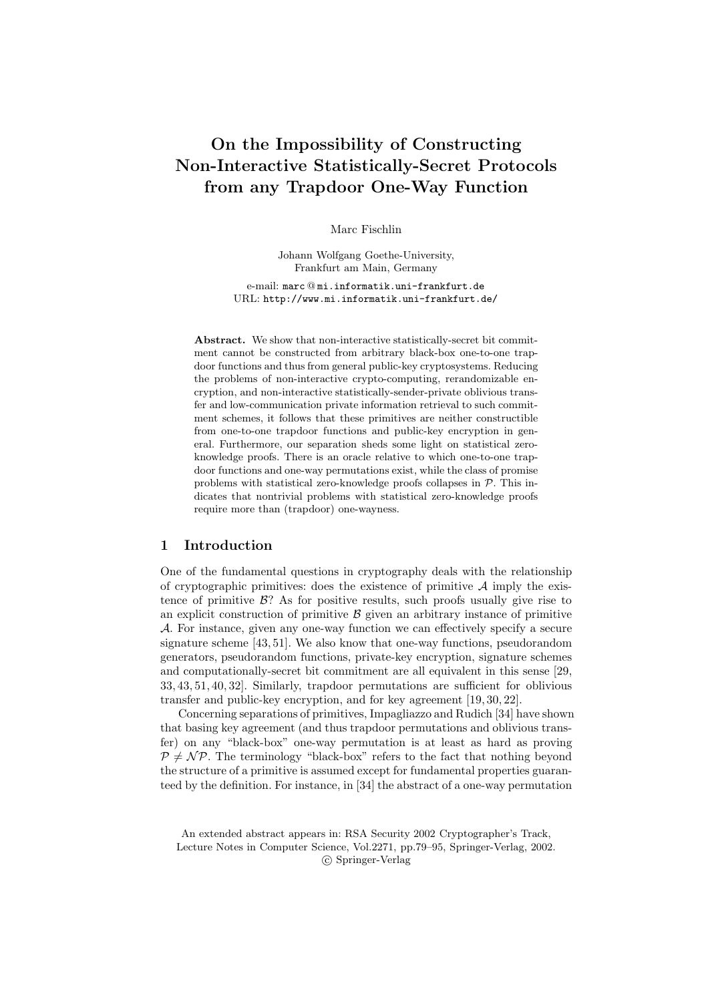# **On the Impossibility of Constructing Non-Interactive Statistically-Secret Protocols from any Trapdoor One-Way Function**

Marc Fischlin

Johann Wolfgang Goethe-University, Frankfurt am Main, Germany

e-mail: marc @ mi.informatik.uni-frankfurt.de URL: http://www.mi.informatik.uni-frankfurt.de/

**Abstract.** We show that non-interactive statistically-secret bit commitment cannot be constructed from arbitrary black-box one-to-one trapdoor functions and thus from general public-key cryptosystems. Reducing the problems of non-interactive crypto-computing, rerandomizable encryption, and non-interactive statistically-sender-private oblivious transfer and low-communication private information retrieval to such commitment schemes, it follows that these primitives are neither constructible from one-to-one trapdoor functions and public-key encryption in general. Furthermore, our separation sheds some light on statistical zeroknowledge proofs. There is an oracle relative to which one-to-one trapdoor functions and one-way permutations exist, while the class of promise problems with statistical zero-knowledge proofs collapses in  $P$ . This indicates that nontrivial problems with statistical zero-knowledge proofs require more than (trapdoor) one-wayness.

## **1 Introduction**

One of the fundamental questions in cryptography deals with the relationship of cryptographic primitives: does the existence of primitive  $A$  imply the existence of primitive  $\mathcal{B}$ ? As for positive results, such proofs usually give rise to an explicit construction of primitive  $\beta$  given an arbitrary instance of primitive A. For instance, given any one-way function we can effectively specify a secure signature scheme [43, 51]. We also know that one-way functions, pseudorandom generators, pseudorandom functions, private-key encryption, signature schemes and computationally-secret bit commitment are all equivalent in this sense [29, 33, 43, 51, 40, 32]. Similarly, trapdoor permutations are sufficient for oblivious transfer and public-key encryption, and for key agreement [19, 30, 22].

Concerning separations of primitives, Impagliazzo and Rudich [34] have shown that basing key agreement (and thus trapdoor permutations and oblivious transfer) on any "black-box" one-way permutation is at least as hard as proving  $P \neq \mathcal{NP}$ . The terminology "black-box" refers to the fact that nothing beyond the structure of a primitive is assumed except for fundamental properties guaranteed by the definition. For instance, in [34] the abstract of a one-way permutation

An extended abstract appears in: RSA Security 2002 Cryptographer's Track, Lecture Notes in Computer Science, Vol.2271, pp.79–95, Springer-Verlag, 2002. -c Springer-Verlag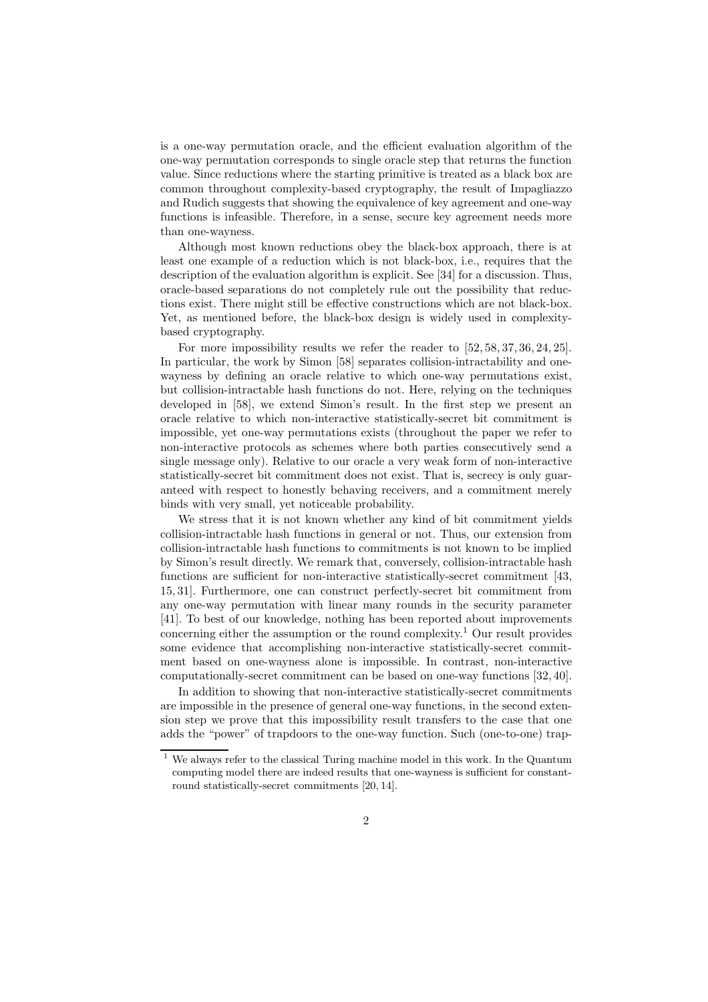is a one-way permutation oracle, and the efficient evaluation algorithm of the one-way permutation corresponds to single oracle step that returns the function value. Since reductions where the starting primitive is treated as a black box are common throughout complexity-based cryptography, the result of Impagliazzo and Rudich suggests that showing the equivalence of key agreement and one-way functions is infeasible. Therefore, in a sense, secure key agreement needs more than one-wayness.

Although most known reductions obey the black-box approach, there is at least one example of a reduction which is not black-box, i.e., requires that the description of the evaluation algorithm is explicit. See [34] for a discussion. Thus, oracle-based separations do not completely rule out the possibility that reductions exist. There might still be effective constructions which are not black-box. Yet, as mentioned before, the black-box design is widely used in complexitybased cryptography.

For more impossibility results we refer the reader to [52, 58, 37, 36, 24, 25]. In particular, the work by Simon [58] separates collision-intractability and onewayness by defining an oracle relative to which one-way permutations exist, but collision-intractable hash functions do not. Here, relying on the techniques developed in [58], we extend Simon's result. In the first step we present an oracle relative to which non-interactive statistically-secret bit commitment is impossible, yet one-way permutations exists (throughout the paper we refer to non-interactive protocols as schemes where both parties consecutively send a single message only). Relative to our oracle a very weak form of non-interactive statistically-secret bit commitment does not exist. That is, secrecy is only guaranteed with respect to honestly behaving receivers, and a commitment merely binds with very small, yet noticeable probability.

We stress that it is not known whether any kind of bit commitment yields collision-intractable hash functions in general or not. Thus, our extension from collision-intractable hash functions to commitments is not known to be implied by Simon's result directly. We remark that, conversely, collision-intractable hash functions are sufficient for non-interactive statistically-secret commitment [43, 15, 31]. Furthermore, one can construct perfectly-secret bit commitment from any one-way permutation with linear many rounds in the security parameter [41]. To best of our knowledge, nothing has been reported about improvements concerning either the assumption or the round complexity.<sup>1</sup> Our result provides some evidence that accomplishing non-interactive statistically-secret commitment based on one-wayness alone is impossible. In contrast, non-interactive computationally-secret commitment can be based on one-way functions [32, 40].

In addition to showing that non-interactive statistically-secret commitments are impossible in the presence of general one-way functions, in the second extension step we prove that this impossibility result transfers to the case that one adds the "power" of trapdoors to the one-way function. Such (one-to-one) trap-

 $1$  We always refer to the classical Turing machine model in this work. In the Quantum computing model there are indeed results that one-wayness is sufficient for constantround statistically-secret commitments [20, 14].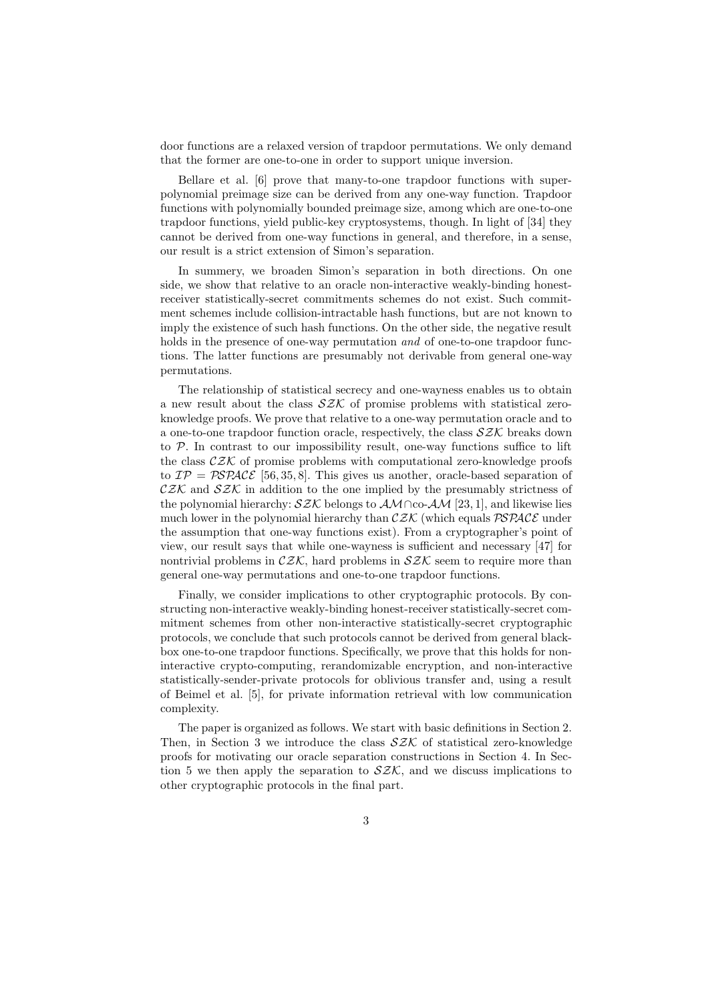door functions are a relaxed version of trapdoor permutations. We only demand that the former are one-to-one in order to support unique inversion.

Bellare et al. [6] prove that many-to-one trapdoor functions with superpolynomial preimage size can be derived from any one-way function. Trapdoor functions with polynomially bounded preimage size, among which are one-to-one trapdoor functions, yield public-key cryptosystems, though. In light of [34] they cannot be derived from one-way functions in general, and therefore, in a sense, our result is a strict extension of Simon's separation.

In summery, we broaden Simon's separation in both directions. On one side, we show that relative to an oracle non-interactive weakly-binding honestreceiver statistically-secret commitments schemes do not exist. Such commitment schemes include collision-intractable hash functions, but are not known to imply the existence of such hash functions. On the other side, the negative result holds in the presence of one-way permutation *and* of one-to-one trapdoor functions. The latter functions are presumably not derivable from general one-way permutations.

The relationship of statistical secrecy and one-wayness enables us to obtain a new result about the class  $\mathcal{SZK}$  of promise problems with statistical zeroknowledge proofs. We prove that relative to a one-way permutation oracle and to a one-to-one trapdoor function oracle, respectively, the class  $\mathcal{SZK}$  breaks down to  $P$ . In contrast to our impossibility result, one-way functions suffice to lift the class  $\mathcal{CZK}$  of promise problems with computational zero-knowledge proofs to  $\mathcal{IP} = \mathcal{PSPACE}$  [56, 35, 8]. This gives us another, oracle-based separation of  $CZK$  and  $SZK$  in addition to the one implied by the presumably strictness of the polynomial hierarchy:  $\mathcal{SZK}$  belongs to  $\mathcal{AM}\cap$  co- $\mathcal{AM}$  [23, 1], and likewise lies much lower in the polynomial hierarchy than  $\mathcal{CZK}$  (which equals  $\mathcal{PSPACE}$  under the assumption that one-way functions exist). From a cryptographer's point of view, our result says that while one-wayness is sufficient and necessary [47] for nontrivial problems in  $\mathcal{CZK}$ , hard problems in  $\mathcal{SZK}$  seem to require more than general one-way permutations and one-to-one trapdoor functions.

Finally, we consider implications to other cryptographic protocols. By constructing non-interactive weakly-binding honest-receiver statistically-secret commitment schemes from other non-interactive statistically-secret cryptographic protocols, we conclude that such protocols cannot be derived from general blackbox one-to-one trapdoor functions. Specifically, we prove that this holds for noninteractive crypto-computing, rerandomizable encryption, and non-interactive statistically-sender-private protocols for oblivious transfer and, using a result of Beimel et al. [5], for private information retrieval with low communication complexity.

The paper is organized as follows. We start with basic definitions in Section 2. Then, in Section 3 we introduce the class  $SZK$  of statistical zero-knowledge proofs for motivating our oracle separation constructions in Section 4. In Section 5 we then apply the separation to  $\mathcal{SZK}$ , and we discuss implications to other cryptographic protocols in the final part.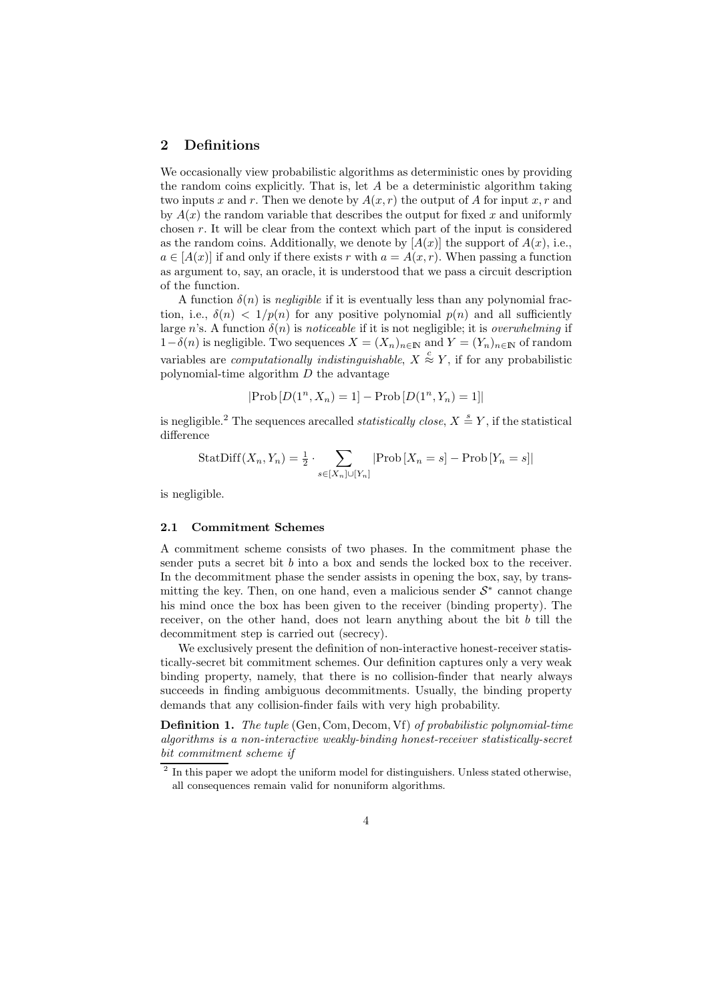#### **2 Definitions**

We occasionally view probabilistic algorithms as deterministic ones by providing the random coins explicitly. That is, let  $A$  be a deterministic algorithm taking two inputs x and r. Then we denote by  $A(x, r)$  the output of A for input x, r and by  $A(x)$  the random variable that describes the output for fixed x and uniformly chosen  $r$ . It will be clear from the context which part of the input is considered as the random coins. Additionally, we denote by  $[A(x)]$  the support of  $A(x)$ , i.e.,  $a \in [A(x)]$  if and only if there exists r with  $a = A(x, r)$ . When passing a function as argument to, say, an oracle, it is understood that we pass a circuit description of the function.

A function  $\delta(n)$  is *negligible* if it is eventually less than any polynomial fraction, i.e.,  $\delta(n) < 1/p(n)$  for any positive polynomial  $p(n)$  and all sufficiently large n's. A function  $\delta(n)$  is *noticeable* if it is not negligible; it is *overwhelming* if  $1-\delta(n)$  is negligible. Two sequences  $X = (X_n)_{n \in \mathbb{N}}$  and  $Y = (Y_n)_{n \in \mathbb{N}}$  of random variables are *computationally indistinguishable*,  $X \stackrel{c}{\approx} Y$ , if for any probabilistic polynomial-time algorithm  $D$  the advantage

$$
|\mathrm{Prob}\left[D(1^n,X_n)=1\right]-\mathrm{Prob}\left[D(1^n,Y_n)=1\right]|
$$

is negligible.<sup>2</sup> The sequences are called *statistically close*,  $X \stackrel{s}{=} Y$ , if the statistical difference

$$
StatDiff(X_n, Y_n) = \frac{1}{2} \cdot \sum_{s \in [X_n] \cup [Y_n]} |Prob[X_n = s] - Prob[Y_n = s]|
$$

is negligible.

#### **2.1 Commitment Schemes**

A commitment scheme consists of two phases. In the commitment phase the sender puts a secret bit  $b$  into a box and sends the locked box to the receiver. In the decommitment phase the sender assists in opening the box, say, by transmitting the key. Then, on one hand, even a malicious sender  $S^*$  cannot change his mind once the box has been given to the receiver (binding property). The receiver, on the other hand, does not learn anything about the bit  $b$  till the decommitment step is carried out (secrecy).

We exclusively present the definition of non-interactive honest-receiver statistically-secret bit commitment schemes. Our definition captures only a very weak binding property, namely, that there is no collision-finder that nearly always succeeds in finding ambiguous decommitments. Usually, the binding property demands that any collision-finder fails with very high probability.

**Definition 1.** *The tuple* (Gen, Com, Decom, Vf) *of probabilistic polynomial-time algorithms is a non-interactive weakly-binding honest-receiver statistically-secret bit commitment scheme if*

 $^{2}$  In this paper we adopt the uniform model for distinguishers. Unless stated otherwise, all consequences remain valid for nonuniform algorithms.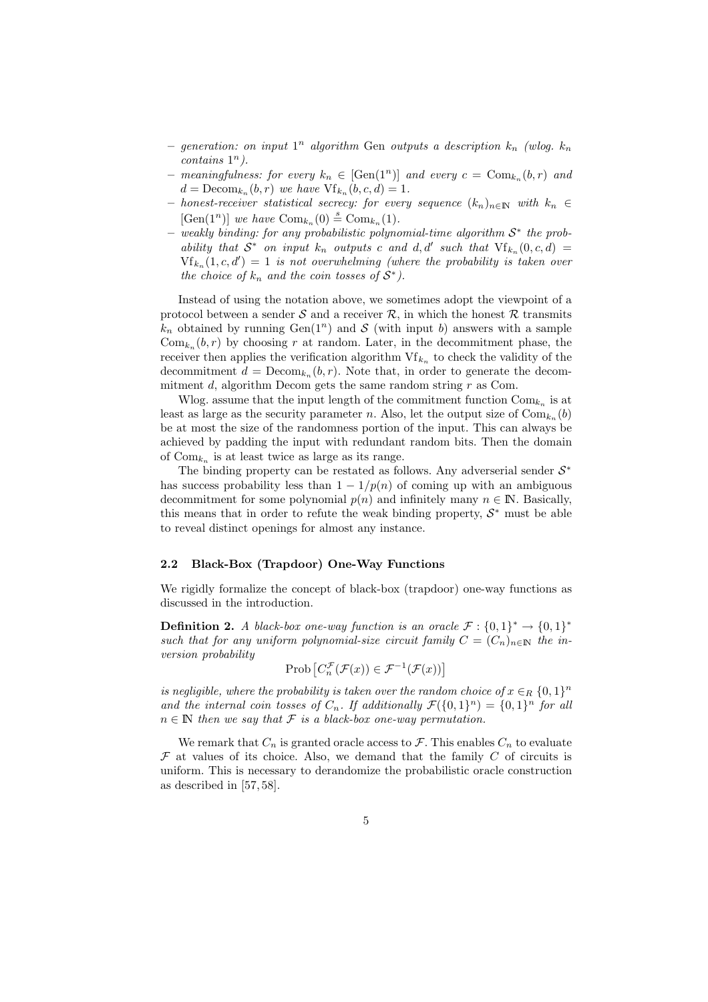- $-$  generation: on input 1<sup>n</sup> algorithm Gen outputs a description  $k_n$  (wlog.  $k_n$ ) *contains*  $1^n$ *).*
- $−$  *meaningfulness: for every*  $k_n ∈ [Gen(1^n)]$  *and every*  $c = Com_{k_n}(b, r)$  *and*  $d = \text{Decom}_{k_n}(b, r)$  *we have*  $\text{Vf}_{k_n}(b, c, d) = 1$ .
- $-$  *honest-receiver statistical secrecy: for every sequence*  $(k_n)_{n \in \mathbb{N}}$  *with*  $k_n$  ∈  $[\text{Gen}(1^n)]$  *we have*  $\text{Com}_{k_n}(0) \stackrel{s}{=} \text{Com}_{k_n}(1)$ *.*
- **–** *weakly binding: for any probabilistic polynomial-time algorithm* S<sup>∗</sup> *the probability that*  $S^*$  *on input*  $k_n$  *outputs* c and  $d, d'$  *such that*  $Vf_{k_n}(0, c, d) =$  $\nabla f_{k_n}(1, c, d') = 1$  *is not overwhelming (where the probability is taken over the choice of*  $k_n$  *and the coin tosses of*  $S^*$ *)*.

Instead of using the notation above, we sometimes adopt the viewpoint of a protocol between a sender S and a receiver  $\mathcal{R}$ , in which the honest  $\mathcal R$  transmits  $k_n$  obtained by running Gen(1<sup>n</sup>) and S (with input b) answers with a sample  $Com_{k_n}(b, r)$  by choosing r at random. Later, in the decommitment phase, the receiver then applies the verification algorithm  $Vf_{k_n}$  to check the validity of the decommitment  $d = \text{Decom}_{k_n}(b, r)$ . Note that, in order to generate the decommitment  $d$ , algorithm Decom gets the same random string  $r$  as Com.

Wlog. assume that the input length of the commitment function  $Com_{k_n}$  is at least as large as the security parameter n. Also, let the output size of  $Com_k (b)$ be at most the size of the randomness portion of the input. This can always be achieved by padding the input with redundant random bits. Then the domain of  $Com_{k_n}$  is at least twice as large as its range.

The binding property can be restated as follows. Any adverserial sender  $S^*$ has success probability less than  $1 - 1/p(n)$  of coming up with an ambiguous decommitment for some polynomial  $p(n)$  and infinitely many  $n \in \mathbb{N}$ . Basically, this means that in order to refute the weak binding property,  $S^*$  must be able to reveal distinct openings for almost any instance.

#### **2.2 Black-Box (Trapdoor) One-Way Functions**

We rigidly formalize the concept of black-box (trapdoor) one-way functions as discussed in the introduction.

**Definition 2.** *A black-box one-way function is an oracle*  $\mathcal{F}: \{0,1\}^* \rightarrow \{0,1\}^*$ *such that for any uniform polynomial-size circuit family*  $C = (C_n)_{n \in \mathbb{N}}$  *the inversion probability*

$$
\mathrm{Prob}\left[C_n^{\mathcal{F}}(\mathcal{F}(x)) \in \mathcal{F}^{-1}(\mathcal{F}(x))\right]
$$

*is negligible, where the probability is taken over the random choice of*  $x \in_R \{0,1\}^n$ *and the internal coin tosses of*  $C_n$ . If additionally  $\mathcal{F}(\{0,1\}^n) = \{0,1\}^n$  for all  $n \in \mathbb{N}$  then we say that  $\mathcal F$  is a black-box one-way permutation.

We remark that  $C_n$  is granted oracle access to  $\mathcal F$ . This enables  $C_n$  to evaluate  $\mathcal F$  at values of its choice. Also, we demand that the family  $C$  of circuits is uniform. This is necessary to derandomize the probabilistic oracle construction as described in [57, 58].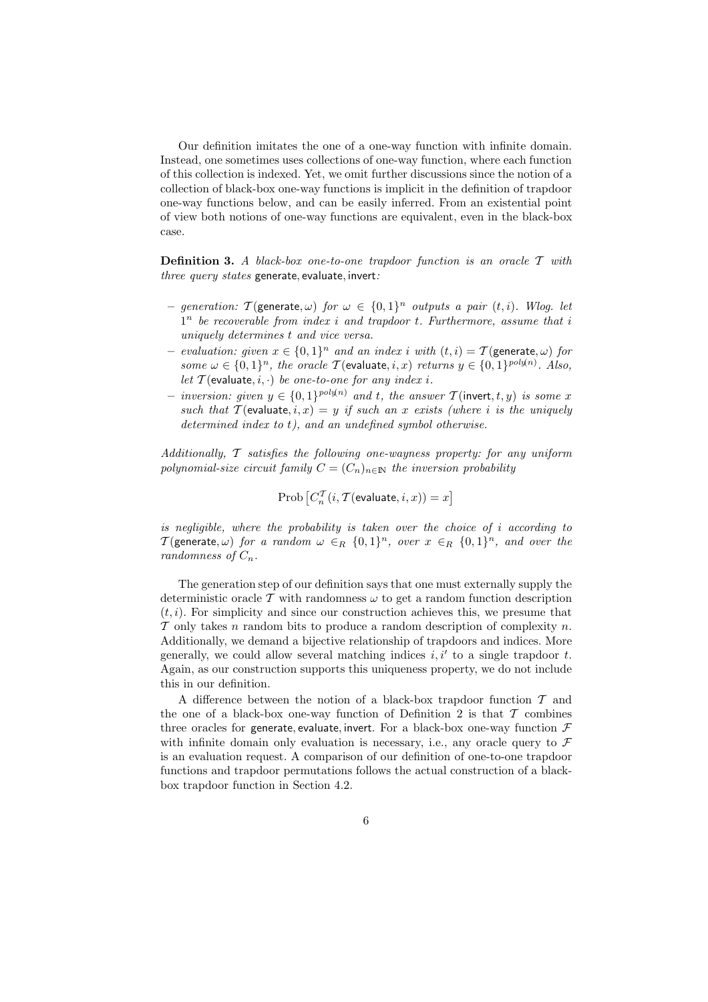Our definition imitates the one of a one-way function with infinite domain. Instead, one sometimes uses collections of one-way function, where each function of this collection is indexed. Yet, we omit further discussions since the notion of a collection of black-box one-way functions is implicit in the definition of trapdoor one-way functions below, and can be easily inferred. From an existential point of view both notions of one-way functions are equivalent, even in the black-box case.

**Definition 3.** *A black-box one-to-one trapdoor function is an oracle* T *with three query states* generate, evaluate, invert*:*

- $−$  *generation:* **T**(generate, ω) *for* ω ∈ {0,1}<sup>n</sup> *outputs a pair* (*t, i*)*. Wlog. let* 1<sup>n</sup> *be recoverable from index* i *and trapdoor* t*. Furthermore, assume that* i *uniquely determines* t *and vice versa.*
- $−$  *evaluation: given*  $x \in \{0, 1\}$ <sup>n</sup> *and an index i with*  $(t, i) = T$  (generate, ω) *for some*  $\omega \in \{0,1\}^n$ , the oracle  $\mathcal{T}$  (evaluate, i, x) *returns*  $y \in \{0,1\}^{poly(n)}$ . Also, let  $\mathcal{T}$  (evaluate i, ) be one-to-one for any index i *let*  $\mathcal{T}$  (evaluate,  $i, \cdot$ ) *be one-to-one for any index i.*
- $−$  *inversion:* given  $y \in \{0, 1\}^{poly(n)}$  and t, the answer  $\mathcal{T}$  (invert, t, y) *is some* x *such that*  $\mathcal{T}$  (evaluate, *i*, *x*) = *y if such an x exists (where <i>i is the uniquely determined index to* t*), and an undefined symbol otherwise.*

*Additionally,* T *satisfies the following one-wayness property: for any uniform polynomial-size circuit family*  $C = (C_n)_{n \in \mathbb{N}}$  *the inversion probability* 

$$
Prob[C_n^{\mathcal{T}}(i, \mathcal{T}(\text{evaluate}, i, x)) = x]
$$

*is negligible, where the probability is taken over the choice of* i *according to* T(generate,  $\omega$ ) for a random  $\omega \in_R \{0,1\}^n$ , over  $x \in_R \{0,1\}^n$ , and over the *randomness of*  $C_n$ .

The generation step of our definition says that one must externally supply the deterministic oracle  $\mathcal T$  with randomness  $\omega$  to get a random function description  $(t, i)$ . For simplicity and since our construction achieves this, we presume that  $\mathcal T$  only takes n random bits to produce a random description of complexity n. Additionally, we demand a bijective relationship of trapdoors and indices. More generally, we could allow several matching indices  $i, i'$  to a single trapdoor  $t$ . Again, as our construction supports this uniqueness property, we do not include this in our definition.

A difference between the notion of a black-box trapdoor function  $\mathcal T$  and the one of a black-box one-way function of Definition 2 is that  $\mathcal T$  combines three oracles for generate, evaluate, invert. For a black-box one-way function  $\mathcal F$ with infinite domain only evaluation is necessary, i.e., any oracle query to  $\mathcal F$ is an evaluation request. A comparison of our definition of one-to-one trapdoor functions and trapdoor permutations follows the actual construction of a blackbox trapdoor function in Section 4.2.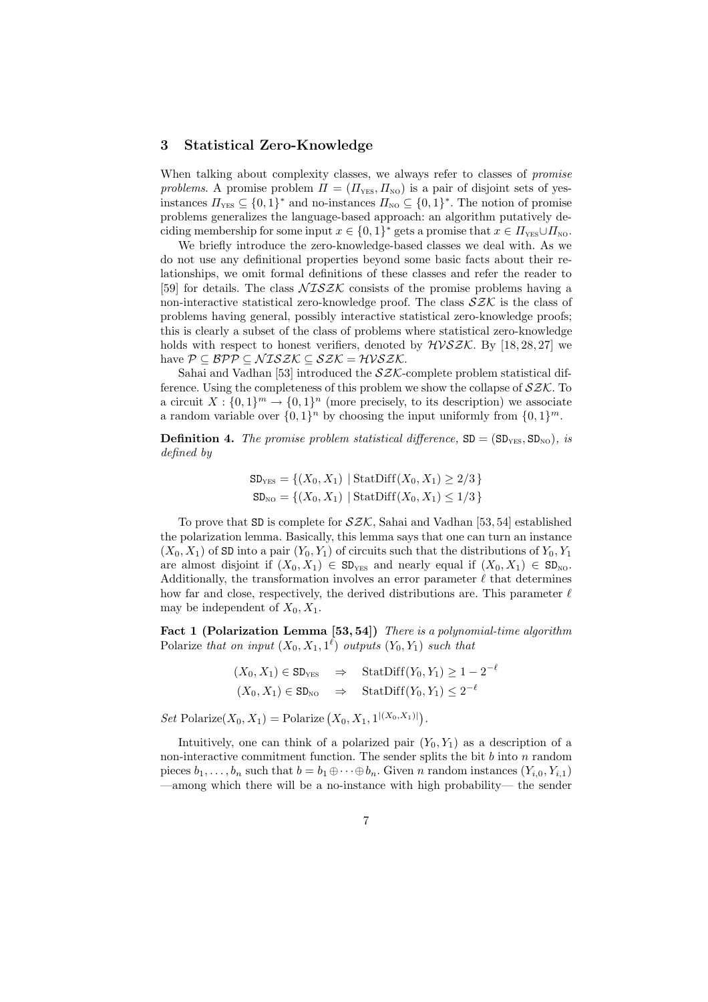#### **3 Statistical Zero-Knowledge**

When talking about complexity classes, we always refer to classes of *promise problems*. A promise problem  $\Pi = (\Pi_{\text{YES}}, \Pi_{\text{NO}})$  is a pair of disjoint sets of yesinstances  $\Pi_{\text{YES}} \subseteq \{0,1\}^*$  and no-instances  $\Pi_{\text{NO}} \subseteq \{0,1\}^*$ . The notion of promise problems generalizes the language-based approach: an algorithm putatively deciding membership for some input  $x \in \{0,1\}^*$  gets a promise that  $x \in \Pi_{\text{YES}} \cup \Pi_{\text{NO}}$ .

We briefly introduce the zero-knowledge-based classes we deal with. As we do not use any definitional properties beyond some basic facts about their relationships, we omit formal definitions of these classes and refer the reader to [59] for details. The class  $NISZK$  consists of the promise problems having a non-interactive statistical zero-knowledge proof. The class  $\mathcal{SZK}$  is the class of problems having general, possibly interactive statistical zero-knowledge proofs; this is clearly a subset of the class of problems where statistical zero-knowledge holds with respect to honest verifiers, denoted by  $\mathcal{H}V\mathcal{SZK}$ . By [18, 28, 27] we have  $P \subseteq BPP \subseteq NISZK \subseteq SZK = HVSZK$ .

Sahai and Vadhan [53] introduced the  $\mathcal{SZK}$ -complete problem statistical difference. Using the completeness of this problem we show the collapse of  $\mathcal{SZK}$ . To a circuit  $X: \{0,1\}^m \to \{0,1\}^n$  (more precisely, to its description) we associate a random variable over  $\{0,1\}^n$  by choosing the input uniformly from  $\{0,1\}^m$ .

**Definition 4.** *The promise problem statistical difference*,  $SD = (SD_{YES}, SD_{NO})$ *, is defined by*

$$
SD_{YES} = \{ (X_0, X_1) \mid \text{StatDiff}(X_0, X_1) \ge 2/3 \}
$$
  

$$
SD_{NO} = \{ (X_0, X_1) \mid \text{StatDiff}(X_0, X_1) \le 1/3 \}
$$

To prove that SD is complete for  $SZK$ , Sahai and Vadhan [53, 54] established the polarization lemma. Basically, this lemma says that one can turn an instance  $(X_0, X_1)$  of SD into a pair  $(Y_0, Y_1)$  of circuits such that the distributions of  $Y_0, Y_1$ are almost disjoint if  $(X_0, X_1) \in SD_{YES}$  and nearly equal if  $(X_0, X_1) \in SD_{NO}$ . Additionally, the transformation involves an error parameter  $\ell$  that determines how far and close, respectively, the derived distributions are. This parameter  $\ell$ may be independent of  $X_0, X_1$ .

**Fact 1 (Polarization Lemma [53, 54])** *There is a polynomial-time algorithm* Polarize that on input  $(X_0, X_1, 1^{\ell})$  *outputs*  $(Y_0, Y_1)$  *such that* 

$$
(X_0, X_1) \in SD_{YES} \Rightarrow
$$
  $StatDiff(Y_0, Y_1) \ge 1 - 2^{-\ell}$   
 $(X_0, X_1) \in SD_{NO} \Rightarrow$   $StatDiff(Y_0, Y_1) \le 2^{-\ell}$ 

*Set* Polarize( $X_0, X_1$ ) = Polarize  $(X_0, X_1, 1^{|(X_0, X_1)|})$ .

Intuitively, one can think of a polarized pair  $(Y_0, Y_1)$  as a description of a non-interactive commitment function. The sender splits the bit  $b$  into  $n$  random pieces  $b_1, \ldots, b_n$  such that  $b = b_1 \oplus \cdots \oplus b_n$ . Given n random instances  $(Y_{i,0}, Y_{i,1})$ —among which there will be a no-instance with high probability— the sender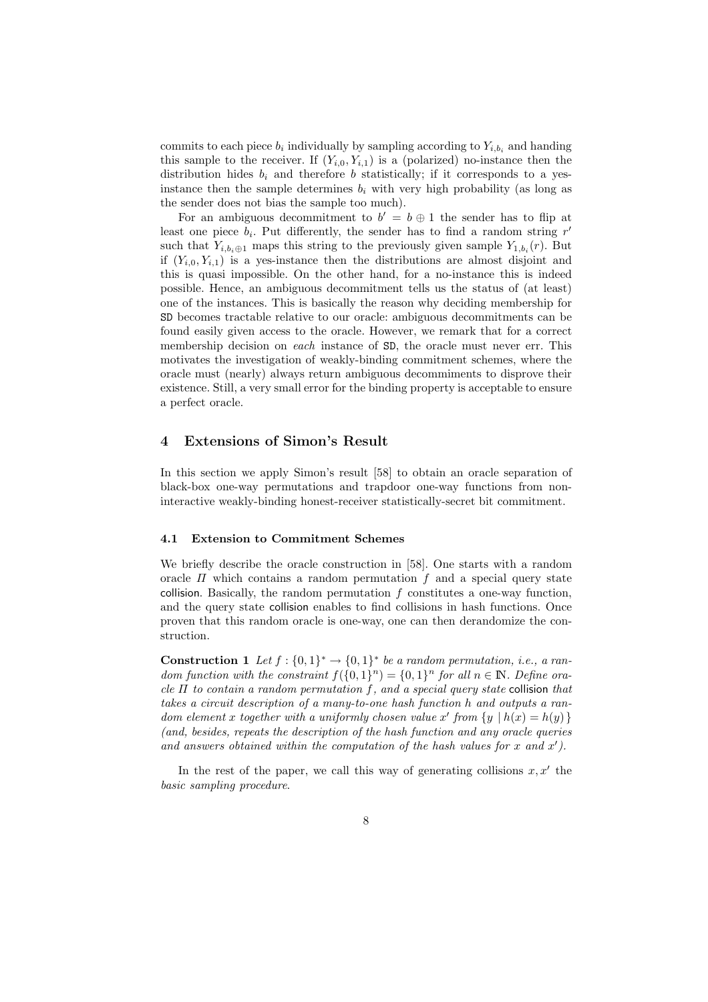commits to each piece  $b_i$  individually by sampling according to  $Y_{i,b_i}$  and handing this sample to the receiver. If  $(Y_{i,0}, Y_{i,1})$  is a (polarized) no-instance then the distribution hides  $b_i$  and therefore b statistically; if it corresponds to a yesinstance then the sample determines  $b_i$  with very high probability (as long as the sender does not bias the sample too much).

For an ambiguous decommitment to  $b' = b \oplus 1$  the sender has to flip at least one piece  $b_i$ . Put differently, the sender has to find a random string r' such that  $Y_{i,b_i\oplus 1}$  maps this string to the previously given sample  $Y_{1,b_i}(r)$ . But if  $(Y_{i,0}, Y_{i,1})$  is a yes-instance then the distributions are almost disjoint and this is quasi impossible. On the other hand, for a no-instance this is indeed possible. Hence, an ambiguous decommitment tells us the status of (at least) one of the instances. This is basically the reason why deciding membership for SD becomes tractable relative to our oracle: ambiguous decommitments can be found easily given access to the oracle. However, we remark that for a correct membership decision on *each* instance of SD, the oracle must never err. This motivates the investigation of weakly-binding commitment schemes, where the oracle must (nearly) always return ambiguous decommiments to disprove their existence. Still, a very small error for the binding property is acceptable to ensure a perfect oracle.

## **4 Extensions of Simon's Result**

In this section we apply Simon's result [58] to obtain an oracle separation of black-box one-way permutations and trapdoor one-way functions from noninteractive weakly-binding honest-receiver statistically-secret bit commitment.

#### **4.1 Extension to Commitment Schemes**

We briefly describe the oracle construction in [58]. One starts with a random oracle  $\Pi$  which contains a random permutation  $f$  and a special query state collision. Basically, the random permutation  $f$  constitutes a one-way function, and the query state collision enables to find collisions in hash functions. Once proven that this random oracle is one-way, one can then derandomize the construction.

**Construction 1** *Let*  $f : \{0,1\}^* \to \{0,1\}^*$  *be a random permutation, i.e., a random function with the constraint*  $f(\lbrace 0,1 \rbrace^n) = \lbrace 0,1 \rbrace^n$  *for all*  $n \in \mathbb{N}$ *. Define oracle* <sup>Π</sup> *to contain a random permutation* <sup>f</sup>*, and a special query state* collision *that takes a circuit description of a many-to-one hash function* h *and outputs a random element* x *together with a uniformly chosen value* x' *from*  $\{y \mid h(x) = h(y)\}$ *(and, besides, repeats the description of the hash function and any oracle queries* and answers obtained within the computation of the hash values for x and x').

In the rest of the paper, we call this way of generating collisions  $x, x'$  the *basic sampling procedure*.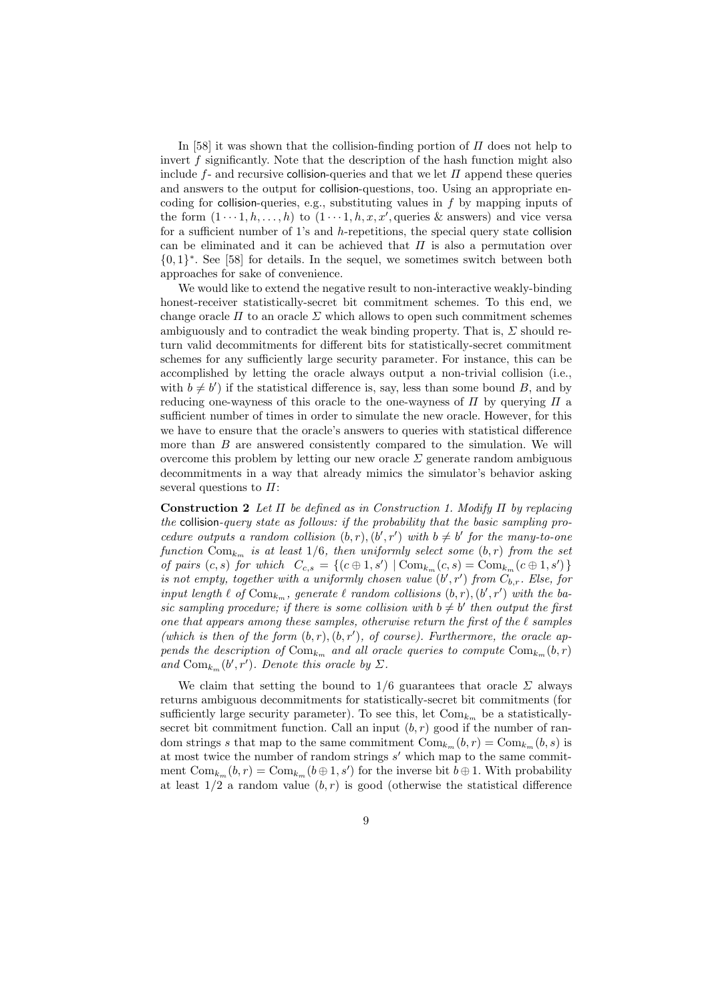In [58] it was shown that the collision-finding portion of  $\Pi$  does not help to invert f significantly. Note that the description of the hash function might also include  $f$ - and recursive collision-queries and that we let  $\Pi$  append these queries and answers to the output for collision-questions, too. Using an appropriate encoding for collision-queries, e.g., substituting values in  $f$  by mapping inputs of the form  $(1 \cdots 1, h, \ldots, h)$  to  $(1 \cdots 1, h, x, x'$ , queries & answers) and vice versa for a sufficient number of 1's and  $h$ -repetitions, the special query state collision can be eliminated and it can be achieved that  $\Pi$  is also a permutation over {0, <sup>1</sup>}∗. See [58] for details. In the sequel, we sometimes switch between both approaches for sake of convenience.

We would like to extend the negative result to non-interactive weakly-binding honest-receiver statistically-secret bit commitment schemes. To this end, we change oracle  $\Pi$  to an oracle  $\Sigma$  which allows to open such commitment schemes ambiguously and to contradict the weak binding property. That is,  $\Sigma$  should return valid decommitments for different bits for statistically-secret commitment schemes for any sufficiently large security parameter. For instance, this can be accomplished by letting the oracle always output a non-trivial collision (i.e., with  $b \neq b'$  if the statistical difference is, say, less than some bound B, and by reducing one-wayness of this oracle to the one-wayness of  $\Pi$  by querying  $\Pi$  a sufficient number of times in order to simulate the new oracle. However, for this we have to ensure that the oracle's answers to queries with statistical difference more than  $B$  are answered consistently compared to the simulation. We will overcome this problem by letting our new oracle  $\Sigma$  generate random ambiguous decommitments in a way that already mimics the simulator's behavior asking several questions to  $\Pi$ :

**Construction 2** *Let* Π *be defined as in Construction 1. Modify* Π *by replacing the* collision*-query state as follows: if the probability that the basic sampling procedure outputs a random collision*  $(b, r), (b', r')$  *with*  $b \neq b'$  *for the many-to-one function*  $\text{Com}_{k_m}$  *is at least*  $1/6$ *, then uniformly select some*  $(b, r)$  *from the set of pairs*  $(c, s)$  *for which*  $C_{c,s} = \{(c \oplus 1, s') \mid \text{Com}_{k_m}(c, s) = \text{Com}_{k_m}(c \oplus 1, s')\}$ *is not empty, together with a uniformly chosen value*  $(b', r')$  *from*  $C_{b,r}$ *. Else, for input length*  $\ell$  of  $\text{Com}_{k_m}$ , generate  $\ell$  random collisions  $(b, r)$ ,  $(b', r')$  with the ba*sic sampling procedure; if there is some collision with*  $b \neq b'$  *then output the first one that appears among these samples, otherwise return the first of the samples* (which is then of the form  $(b, r), (b, r')$ , of course). Furthermore, the oracle ap*pends the description of*  $Com_{k_m}$  *and all oracle queries to compute*  $Com_{k_m}(b, r)$ and  $\text{Com}_{k_m}(b', r')$ . Denote this oracle by  $\Sigma$ .

We claim that setting the bound to  $1/6$  guarantees that oracle  $\Sigma$  always returns ambiguous decommitments for statistically-secret bit commitments (for sufficiently large security parameter). To see this, let  $Com_{k_m}$  be a statisticallysecret bit commitment function. Call an input  $(b, r)$  good if the number of random strings s that map to the same commitment  $Com_{k_m}(b, r) = Com_{k_m}(b, s)$  is at most twice the number of random strings  $s'$  which map to the same commitment  $\text{Com}_{k_m}(b, r) = \text{Com}_{k_m}(b \oplus 1, s')$  for the inverse bit  $b \oplus 1$ . With probability at least  $1/2$  a random value  $(b, r)$  is good (otherwise the statistical difference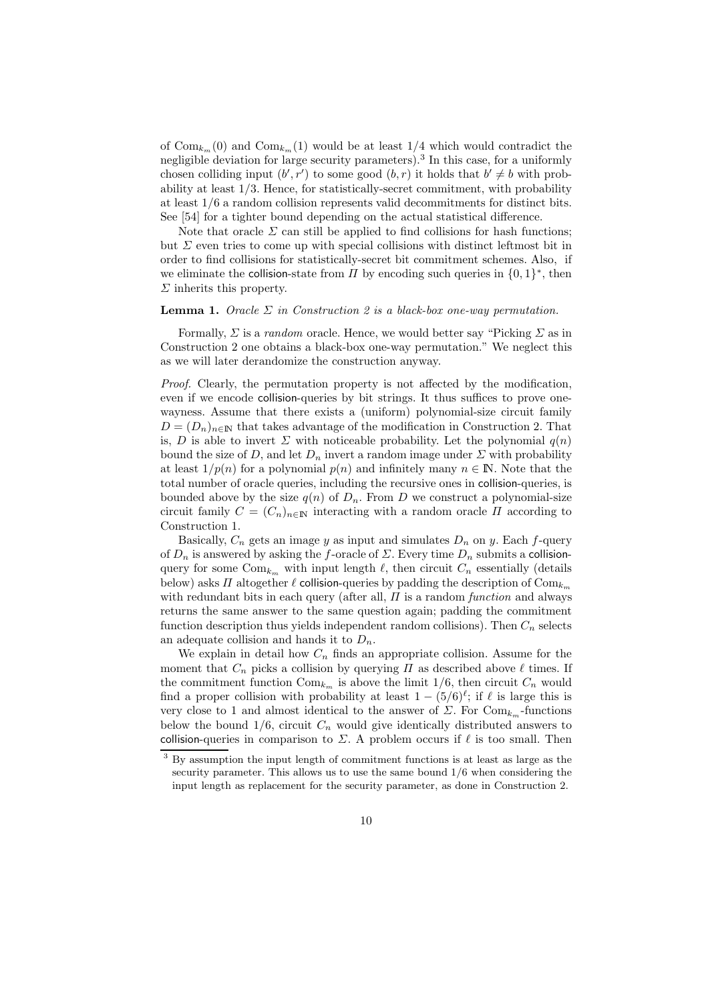of  $\text{Com}_{k_m}(0)$  and  $\text{Com}_{k_m}(1)$  would be at least  $1/4$  which would contradict the negligible deviation for large security parameters).<sup>3</sup> In this case, for a uniformly chosen colliding input  $(b', r')$  to some good  $(b, r)$  it holds that  $b' \neq b$  with probability at least 1/3. Hence, for statistically-secret commitment, with probability at least 1/6 a random collision represents valid decommitments for distinct bits. See [54] for a tighter bound depending on the actual statistical difference.

Note that oracle  $\Sigma$  can still be applied to find collisions for hash functions; but  $\Sigma$  even tries to come up with special collisions with distinct leftmost bit in order to find collisions for statistically-secret bit commitment schemes. Also, if we eliminate the collision-state from  $\Pi$  by encoding such queries in  $\{0, 1\}^*$ , then  $\Sigma$  inherits this property.

#### **Lemma 1.** *Oracle*  $\Sigma$  *in Construction 2 is a black-box one-way permutation.*

Formally,  $\Sigma$  is a *random* oracle. Hence, we would better say "Picking  $\Sigma$  as in Construction 2 one obtains a black-box one-way permutation." We neglect this as we will later derandomize the construction anyway.

*Proof.* Clearly, the permutation property is not affected by the modification, even if we encode collision-queries by bit strings. It thus suffices to prove onewayness. Assume that there exists a (uniform) polynomial-size circuit family  $D = (D_n)_{n \in \mathbb{N}}$  that takes advantage of the modification in Construction 2. That is, D is able to invert  $\Sigma$  with noticeable probability. Let the polynomial  $q(n)$ bound the size of D, and let  $D_n$  invert a random image under  $\Sigma$  with probability at least  $1/p(n)$  for a polynomial  $p(n)$  and infinitely many  $n \in \mathbb{N}$ . Note that the total number of oracle queries, including the recursive ones in collision-queries, is bounded above by the size  $q(n)$  of  $D_n$ . From D we construct a polynomial-size circuit family  $C = (C_n)_{n \in \mathbb{N}}$  interacting with a random oracle  $\Pi$  according to Construction 1.

Basically,  $C_n$  gets an image y as input and simulates  $D_n$  on y. Each f-query of  $D_n$  is answered by asking the f-oracle of  $\Sigma$ . Every time  $D_n$  submits a collisionquery for some  $Com_{k_m}$  with input length  $\ell$ , then circuit  $C_n$  essentially (details below) asks  $\Pi$  altogether  $\ell$  collision-queries by padding the description of  $\mathrm{Com}_{k_m}$ with redundant bits in each query (after all, Π is a random *function* and always returns the same answer to the same question again; padding the commitment function description thus yields independent random collisions). Then  $C_n$  selects an adequate collision and hands it to  $D_n$ .

We explain in detail how  $C_n$  finds an appropriate collision. Assume for the moment that  $C_n$  picks a collision by querying  $\Pi$  as described above  $\ell$  times. If the commitment function  $\text{Com}_{k_m}$  is above the limit 1/6, then circuit  $C_n$  would find a proper collision with probability at least  $1 - (5/6)^{\ell}$ ; if  $\ell$  is large this is very close to 1 and almost identical to the answer of  $\Sigma$ . For Com<sub>km</sub>-functions below the bound  $1/6$ , circuit  $C_n$  would give identically distributed answers to collision-queries in comparison to  $\Sigma$ . A problem occurs if  $\ell$  is too small. Then

<sup>3</sup> By assumption the input length of commitment functions is at least as large as the security parameter. This allows us to use the same bound 1/6 when considering the input length as replacement for the security parameter, as done in Construction 2.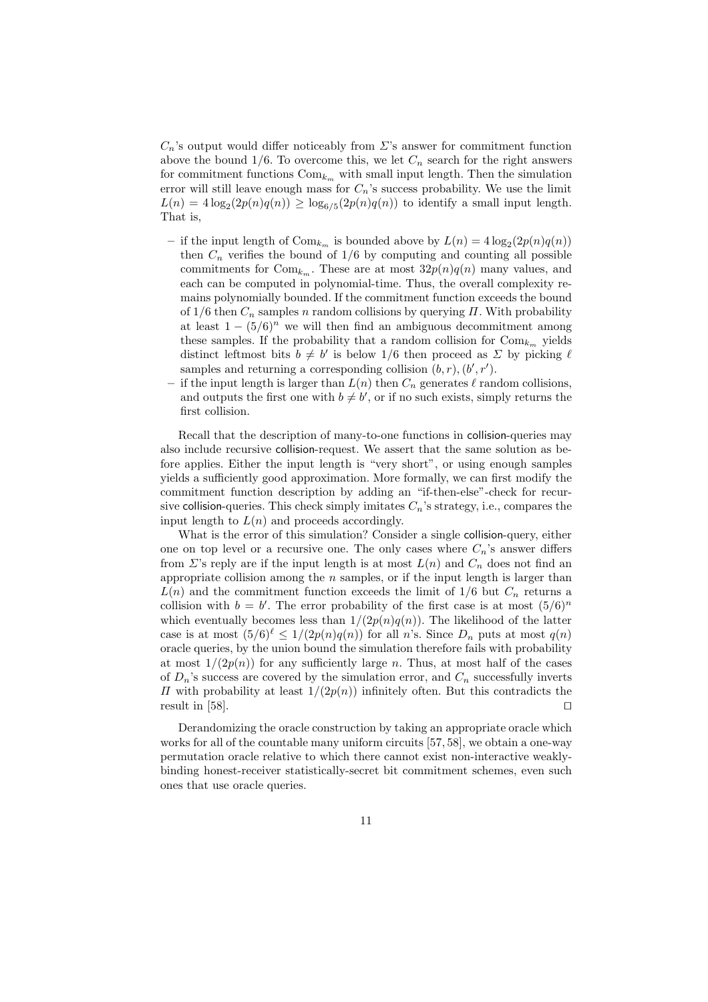$C_n$ 's output would differ noticeably from  $\Sigma$ 's answer for commitment function above the bound  $1/6$ . To overcome this, we let  $C_n$  search for the right answers for commitment functions  $\text{Com}_{k_m}$  with small input length. Then the simulation error will still leave enough mass for  $C_n$ 's success probability. We use the limit  $L(n) = 4 \log_2(2p(n)q(n)) \geq \log_{6/5}(2p(n)q(n))$  to identify a small input length. That is,

- if the input length of  $\text{Com}_{k_m}$  is bounded above by  $L(n) = 4 \log_2(2p(n)q(n))$ then  $C_n$  verifies the bound of  $1/6$  by computing and counting all possible commitments for  $Com_{k_m}$ . These are at most  $32p(n)q(n)$  many values, and each can be computed in polynomial-time. Thus, the overall complexity remains polynomially bounded. If the commitment function exceeds the bound of  $1/6$  then  $C_n$  samples n random collisions by querying  $\Pi$ . With probability at least  $1 - (5/6)^n$  we will then find an ambiguous decommitment among these samples. If the probability that a random collision for  $Com_{k_m}$  yields distinct leftmost bits  $b \neq b'$  is below 1/6 then proceed as  $\Sigma$  by picking  $\ell$ samples and returning a corresponding collision  $(b, r), (b', r').$
- if the input length is larger than  $L(n)$  then  $C_n$  generates  $\ell$  random collisions, and outputs the first one with  $b \neq b'$ , or if no such exists, simply returns the first collision.

Recall that the description of many-to-one functions in collision-queries may also include recursive collision-request. We assert that the same solution as before applies. Either the input length is "very short", or using enough samples yields a sufficiently good approximation. More formally, we can first modify the commitment function description by adding an "if-then-else"-check for recursive collision-queries. This check simply imitates  $C_n$ 's strategy, i.e., compares the input length to  $L(n)$  and proceeds accordingly.

What is the error of this simulation? Consider a single collision-query, either one on top level or a recursive one. The only cases where  $C_n$ 's answer differs from  $\Sigma$ 's reply are if the input length is at most  $L(n)$  and  $C_n$  does not find an appropriate collision among the  $n$  samples, or if the input length is larger than  $L(n)$  and the commitment function exceeds the limit of 1/6 but  $C_n$  returns a collision with  $b = b'$ . The error probability of the first case is at most  $(5/6)^n$ which eventually becomes less than  $1/(2p(n)q(n))$ . The likelihood of the latter case is at most  $(5/6)^{\ell} \leq 1/(2p(n)q(n))$  for all n's. Since  $D_n$  puts at most  $q(n)$ oracle queries, by the union bound the simulation therefore fails with probability at most  $1/(2p(n))$  for any sufficiently large n. Thus, at most half of the cases of  $D_n$ 's success are covered by the simulation error, and  $C_n$  successfully inverts  $\Pi$  with probability at least  $1/(2p(n))$  infinitely often. But this contradicts the result in [58].  $\Box$ 

Derandomizing the oracle construction by taking an appropriate oracle which works for all of the countable many uniform circuits [57, 58], we obtain a one-way permutation oracle relative to which there cannot exist non-interactive weaklybinding honest-receiver statistically-secret bit commitment schemes, even such ones that use oracle queries.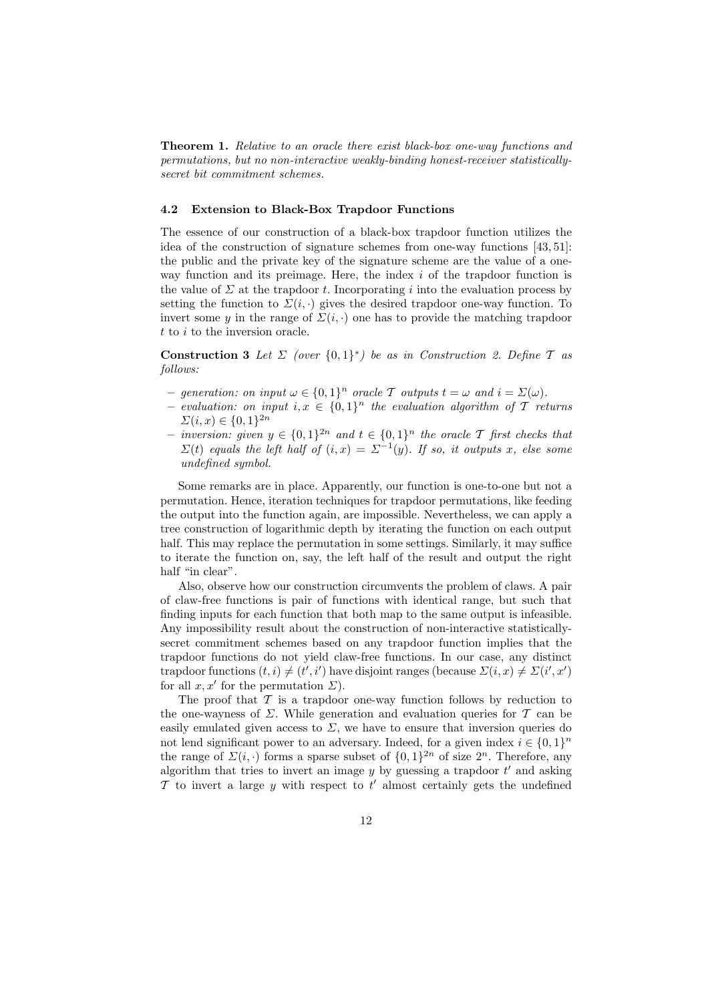**Theorem 1.** *Relative to an oracle there exist black-box one-way functions and permutations, but no non-interactive weakly-binding honest-receiver statisticallysecret bit commitment schemes.*

#### **4.2 Extension to Black-Box Trapdoor Functions**

The essence of our construction of a black-box trapdoor function utilizes the idea of the construction of signature schemes from one-way functions [43, 51]: the public and the private key of the signature scheme are the value of a oneway function and its preimage. Here, the index  $i$  of the trapdoor function is the value of  $\Sigma$  at the trapdoor t. Incorporating i into the evaluation process by setting the function to  $\Sigma(i, \cdot)$  gives the desired trapdoor one-way function. To invert some y in the range of  $\Sigma(i, \cdot)$  one has to provide the matching trapdoor  $t$  to  $i$  to the inversion oracle.

**Construction 3** *Let*  $\Sigma$  *(over*  $\{0,1\}^*$ *) be as in Construction 2. Define*  $\mathcal{T}$  *as follows:*

- $-$  generation: on input  $\omega \in \{0,1\}^n$  oracle T outputs  $t = \omega$  and  $i = \Sigma(\omega)$ .
- **–** *evaluation: on input* i, x ∈ {0, <sup>1</sup>}<sup>n</sup> *the evaluation algorithm of* <sup>T</sup> *returns*  $\Sigma(i, x) \in \{0, 1\}^{2n}$
- $−$  *inversion:* given  $y \in \{0,1\}^{2n}$  and  $t \in \{0,1\}^n$  the oracle T first checks that  $\Sigma(t)$  equals the left half of  $(i, x) = \Sigma^{-1}(y)$ . If so, it outputs x, else some *undefined symbol.*

Some remarks are in place. Apparently, our function is one-to-one but not a permutation. Hence, iteration techniques for trapdoor permutations, like feeding the output into the function again, are impossible. Nevertheless, we can apply a tree construction of logarithmic depth by iterating the function on each output half. This may replace the permutation in some settings. Similarly, it may suffice to iterate the function on, say, the left half of the result and output the right half "in clear".

Also, observe how our construction circumvents the problem of claws. A pair of claw-free functions is pair of functions with identical range, but such that finding inputs for each function that both map to the same output is infeasible. Any impossibility result about the construction of non-interactive statisticallysecret commitment schemes based on any trapdoor function implies that the trapdoor functions do not yield claw-free functions. In our case, any distinct trapdoor functions  $(t, i) \neq (t', i')$  have disjoint ranges (because  $\Sigma(i, x) \neq \Sigma(i', x')$ for all  $x, x'$  for the permutation  $\Sigma$ ).

The proof that  $T$  is a trapdoor one-way function follows by reduction to the one-wayness of  $\Sigma$ . While generation and evaluation queries for T can be easily emulated given access to  $\Sigma$ , we have to ensure that inversion queries do not lend significant power to an adversary. Indeed, for a given index  $i \in \{0,1\}^n$ the range of  $\Sigma(i, \cdot)$  forms a sparse subset of  $\{0, 1\}^{2n}$  of size  $2^n$ . Therefore, any algorithm that tries to invert an image  $y$  by guessing a trapdoor  $t'$  and asking  $\tilde{T}$  to invert a large y with respect to  $t'$  almost certainly gets the undefined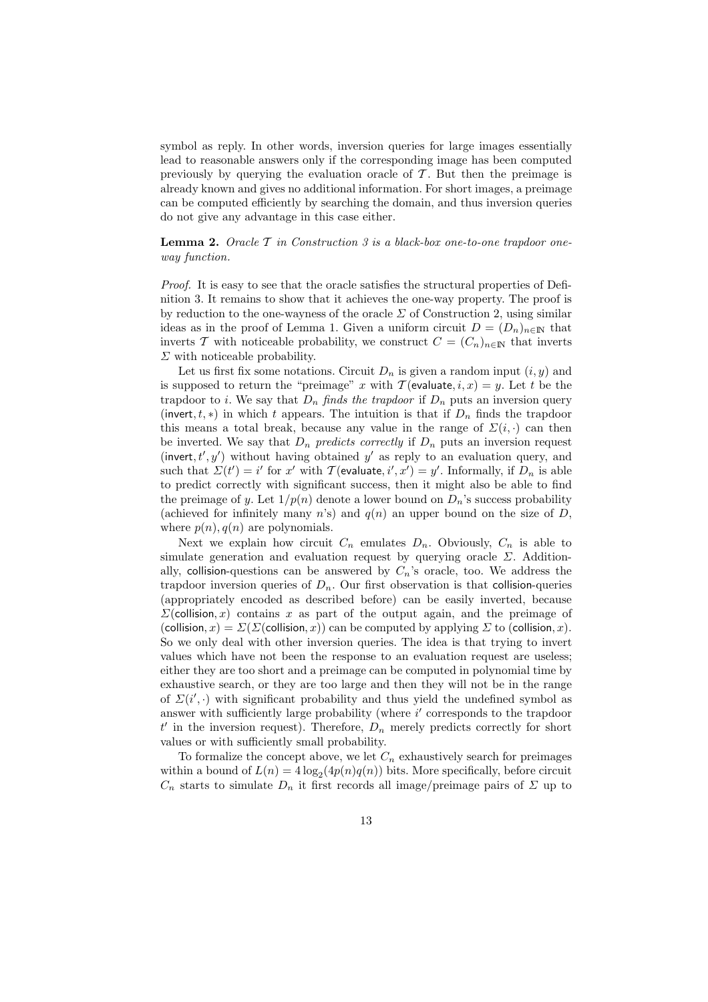symbol as reply. In other words, inversion queries for large images essentially lead to reasonable answers only if the corresponding image has been computed previously by querying the evaluation oracle of  $\mathcal T$ . But then the preimage is already known and gives no additional information. For short images, a preimage can be computed efficiently by searching the domain, and thus inversion queries do not give any advantage in this case either.

#### **Lemma 2.** *Oracle* T *in Construction 3 is a black-box one-to-one trapdoor oneway function.*

*Proof.* It is easy to see that the oracle satisfies the structural properties of Definition 3. It remains to show that it achieves the one-way property. The proof is by reduction to the one-wayness of the oracle  $\Sigma$  of Construction 2, using similar ideas as in the proof of Lemma 1. Given a uniform circuit  $D = (D_n)_{n \in \mathbb{N}}$  that inverts T with noticeable probability, we construct  $C = (C_n)_{n \in \mathbb{N}}$  that inverts  $\Sigma$  with noticeable probability.

Let us first fix some notations. Circuit  $D_n$  is given a random input  $(i, y)$  and is supposed to return the "preimage" x with  $\mathcal{T}$  (evaluate,  $i, x$ ) = y. Let t be the trapdoor to i. We say that  $D_n$  *finds the trapdoor* if  $D_n$  puts an inversion query (invert, t, \*) in which t appears. The intuition is that if  $D_n$  finds the trapdoor this means a total break, because any value in the range of  $\Sigma(i, \cdot)$  can then be inverted. We say that  $D_n$  *predicts correctly* if  $D_n$  puts an inversion request (invert,  $t', y'$ ) without having obtained  $y'$  as reply to an evaluation query, and<br>such that  $\sum (t') = i'$  for  $x'$  with  $\mathcal{T}$ (evaluate  $i'$ ,  $x'$ )  $\rightarrow u'$  Informally if D is able such that  $\Sigma(t') = i'$  for x' with  $\mathcal{T}$ (evaluate, i', x') = y'. Informally, if  $D_n$  is able<br>to predict correctly with significant success, then it might also be able to find to predict correctly with significant success, then it might also be able to find the preimage of y. Let  $1/p(n)$  denote a lower bound on  $D_n$ 's success probability (achieved for infinitely many n's) and  $q(n)$  an upper bound on the size of D, where  $p(n)$ ,  $q(n)$  are polynomials.

Next we explain how circuit  $C_n$  emulates  $D_n$ . Obviously,  $C_n$  is able to simulate generation and evaluation request by querying oracle  $\Sigma$ . Additionally, collision-questions can be answered by  $C_n$ 's oracle, too. We address the trapdoor inversion queries of  $D_n$ . Our first observation is that collision-queries (appropriately encoded as described before) can be easily inverted, because  $\Sigma$ (collision, x) contains x as part of the output again, and the preimage of (collision, x) =  $\Sigma(\Sigma(\text{collision}, x))$  can be computed by applying  $\Sigma$  to (collision, x). So we only deal with other inversion queries. The idea is that trying to invert values which have not been the response to an evaluation request are useless; either they are too short and a preimage can be computed in polynomial time by exhaustive search, or they are too large and then they will not be in the range of  $\Sigma(i', \cdot)$  with significant probability and thus yield the undefined symbol as answer with sufficiently large probability (where  $i'$  corresponds to the trapdoor  $t'$  in the inversion request). Therefore,  $D_n$  merely predicts correctly for short values or with sufficiently small probability.

To formalize the concept above, we let  $C_n$  exhaustively search for preimages within a bound of  $L(n) = 4 \log_2(4p(n)q(n))$  bits. More specifically, before circuit  $C_n$  starts to simulate  $D_n$  it first records all image/preimage pairs of  $\Sigma$  up to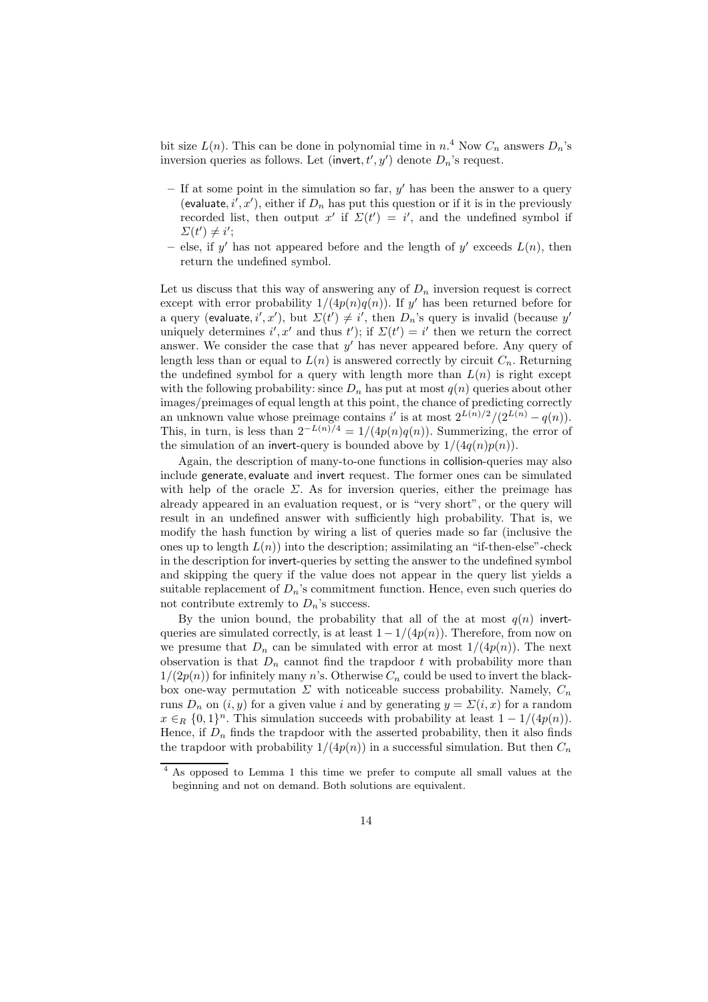bit size  $L(n)$ . This can be done in polynomial time in  $n<sup>4</sup>$  Now  $C_n$  answers  $D_n$ 's inversion queries as follows. Let  $(\text{invert}, t', y')$  denote  $D_n$ 's request.

- If at some point in the simulation so far,  $y'$  has been the answer to a query (evaluate,  $i^{\prime}$ ,  $x^{\prime}$ ), either if  $D_n$  has put this question or if it is in the previously<br>recorded list, then output  $x^{\prime}$  if  $\Sigma(t^{\prime}) = i^{\prime}$  and the undefined symbol if recorded list, then output x' if  $\Sigma(t') = i'$ , and the undefined symbol if  $\Sigma(t') \neq i'$ ;
- else, if y' has not appeared before and the length of y' exceeds  $L(n)$ , then return the undefined symbol.

Let us discuss that this way of answering any of  $D_n$  inversion request is correct except with error probability  $1/(4p(n)q(n))$ . If y' has been returned before for a query (evaluate, i', x'), but  $\Sigma(t') \neq i'$ , then  $D_n$ 's query is invalid (because y'<br>uniquely determines i', x' and thus t'); if  $\Sigma(t') = i'$  then we return the correct uniquely determines  $i', x'$  and thus  $t'$ ; if  $\Sigma(t') = i'$  then we return the correct answer. We consider the case that  $y'$  has never appeared before. Any query of length less than or equal to  $L(n)$  is answered correctly by circuit  $C_n$ . Returning the undefined symbol for a query with length more than  $L(n)$  is right except with the following probability: since  $D_n$  has put at most  $q(n)$  queries about other images/preimages of equal length at this point, the chance of predicting correctly an unknown value whose preimage contains i' is at most  $2^{L(n)/2}/(2^{L(n)}-q(n))$ . This, in turn, is less than  $2^{-L(n)/4} = 1/(4p(n)q(n))$ . Summerizing, the error of the simulation of an invert-query is bounded above by  $1/(4q(n)p(n))$ .

Again, the description of many-to-one functions in collision-queries may also include generate, evaluate and invert request. The former ones can be simulated with help of the oracle  $\Sigma$ . As for inversion queries, either the preimage has already appeared in an evaluation request, or is "very short", or the query will result in an undefined answer with sufficiently high probability. That is, we modify the hash function by wiring a list of queries made so far (inclusive the ones up to length  $L(n)$  into the description; assimilating an "if-then-else"-check in the description for invert-queries by setting the answer to the undefined symbol and skipping the query if the value does not appear in the query list yields a suitable replacement of  $D_n$ 's commitment function. Hence, even such queries do not contribute extremly to  $D_n$ 's success.

By the union bound, the probability that all of the at most  $q(n)$  invertqueries are simulated correctly, is at least  $1-1/(4p(n))$ . Therefore, from now on we presume that  $D_n$  can be simulated with error at most  $1/(4p(n))$ . The next observation is that  $D_n$  cannot find the trapdoor t with probability more than  $1/(2p(n))$  for infinitely many n's. Otherwise  $C_n$  could be used to invert the blackbox one-way permutation  $\Sigma$  with noticeable success probability. Namely,  $C_n$ runs  $D_n$  on  $(i, y)$  for a given value i and by generating  $y = \sum (i, x)$  for a random  $x \in_R \{0,1\}^n$ . This simulation succeeds with probability at least  $1 - 1/(4p(n))$ . Hence, if  $D_n$  finds the trapdoor with the asserted probability, then it also finds the trapdoor with probability  $1/(4p(n))$  in a successful simulation. But then  $C_n$ 

<sup>4</sup> As opposed to Lemma 1 this time we prefer to compute all small values at the beginning and not on demand. Both solutions are equivalent.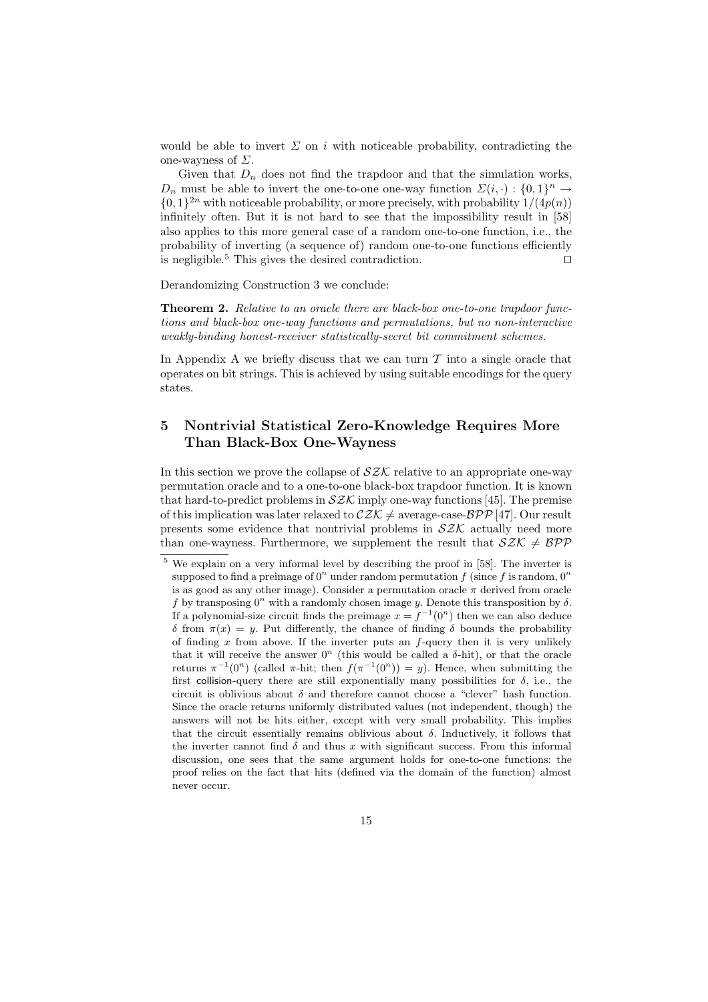would be able to invert  $\Sigma$  on i with noticeable probability, contradicting the one-wayness of  $\Sigma$ .

Given that  $D_n$  does not find the trapdoor and that the simulation works,  $D_n$  must be able to invert the one-to-one one-way function  $\Sigma(i, \cdot) : \{0, 1\}^n \to$  $\{0, 1\}^{2n}$  with noticeable probability, or more precisely, with probability  $1/(4p(n))$ infinitely often. But it is not hard to see that the impossibility result in [58] also applies to this more general case of a random one-to-one function, i.e., the probability of inverting (a sequence of) random one-to-one functions efficiently is negligible.<sup>5</sup> This gives the desired contradiction.  $\Box$ 

Derandomizing Construction 3 we conclude:

**Theorem 2.** *Relative to an oracle there are black-box one-to-one trapdoor functions and black-box one-way functions and permutations, but no non-interactive weakly-binding honest-receiver statistically-secret bit commitment schemes.*

In Appendix A we briefly discuss that we can turn  $\mathcal T$  into a single oracle that operates on bit strings. This is achieved by using suitable encodings for the query states.

## **5 Nontrivial Statistical Zero-Knowledge Requires More Than Black-Box One-Wayness**

In this section we prove the collapse of  $\mathcal{SZK}$  relative to an appropriate one-way permutation oracle and to a one-to-one black-box trapdoor function. It is known that hard-to-predict problems in  $\mathcal{SZK}$  imply one-way functions [45]. The premise of this implication was later relaxed to  $CZK \neq \text{average-case-BPP}$  [47]. Our result presents some evidence that nontrivial problems in  $SZK$  actually need more than one-wayness. Furthermore, we supplement the result that  $SZK \neq BPP$ 

<sup>5</sup> We explain on a very informal level by describing the proof in [58]. The inverter is supposed to find a preimage of  $0^n$  under random permutation f (since f is random,  $0^n$ ) is as good as any other image). Consider a permutation oracle  $\pi$  derived from oracle f by transposing  $0^n$  with a randomly chosen image y. Denote this transposition by  $\delta$ . If a polynomial-size circuit finds the preimage  $x = f^{-1}(0^n)$  then we can also deduce δ from π(x) = y. Put differently, the chance of finding δ bounds the probability of finding  $x$  from above. If the inverter puts an  $f$ -query then it is very unlikely that it will receive the answer  $0^n$  (this would be called a  $\delta$ -hit), or that the oracle returns  $\pi^{-1}(0^n)$  (called  $\pi$ -hit; then  $f(\pi^{-1}(0^n)) = y$ ). Hence, when submitting the first collision-query there are still exponentially many possibilities for  $\delta$ , i.e., the circuit is oblivious about  $\delta$  and therefore cannot choose a "clever" hash function. Since the oracle returns uniformly distributed values (not independent, though) the answers will not be hits either, except with very small probability. This implies that the circuit essentially remains oblivious about  $\delta$ . Inductively, it follows that the inverter cannot find  $\delta$  and thus x with significant success. From this informal discussion, one sees that the same argument holds for one-to-one functions: the proof relies on the fact that hits (defined via the domain of the function) almost never occur.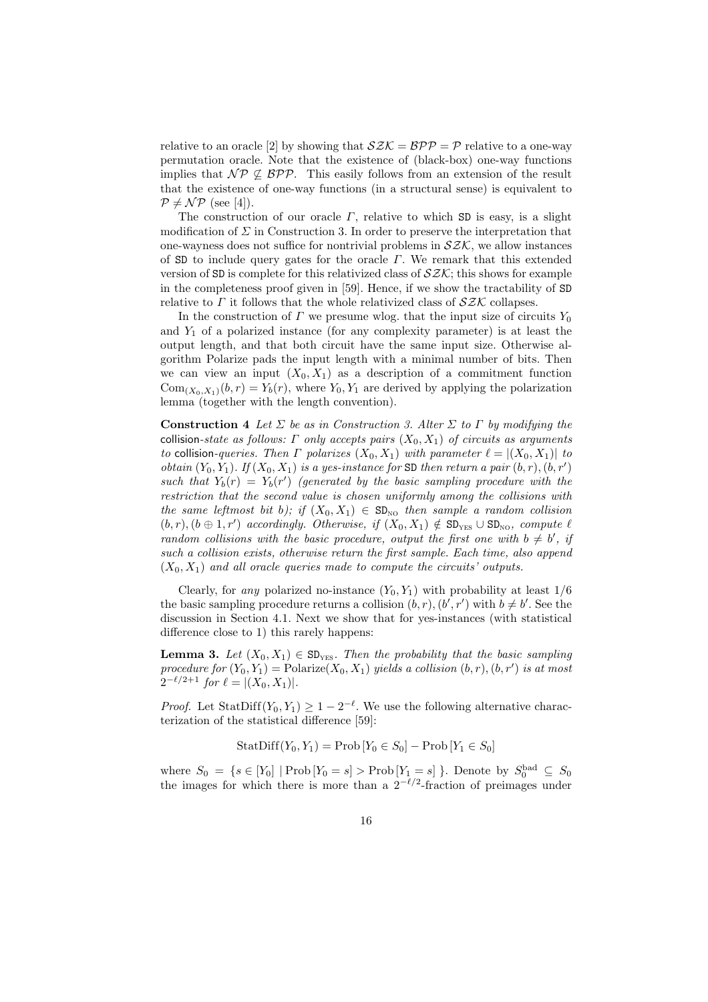relative to an oracle [2] by showing that  $\mathcal{SZK} = \mathcal{BPP} = \mathcal{P}$  relative to a one-way permutation oracle. Note that the existence of (black-box) one-way functions implies that  $\mathcal{NP} \not\subseteq \mathcal{BPP}$ . This easily follows from an extension of the result that the existence of one-way functions (in a structural sense) is equivalent to  $P \neq NP$  (see [4]).

The construction of our oracle  $\Gamma$ , relative to which SD is easy, is a slight modification of  $\Sigma$  in Construction 3. In order to preserve the interpretation that one-wayness does not suffice for nontrivial problems in  $\mathcal{SZK}$ , we allow instances of SD to include query gates for the oracle  $\Gamma$ . We remark that this extended version of SD is complete for this relativized class of  $\mathcal{SZK}$ ; this shows for example in the completeness proof given in [59]. Hence, if we show the tractability of SD relative to  $\Gamma$  it follows that the whole relativized class of  $\mathcal{SZK}$  collapses.

In the construction of  $\Gamma$  we presume wlog. that the input size of circuits  $Y_0$ and  $Y_1$  of a polarized instance (for any complexity parameter) is at least the output length, and that both circuit have the same input size. Otherwise algorithm Polarize pads the input length with a minimal number of bits. Then we can view an input  $(X_0, X_1)$  as a description of a commitment function  $Com_{(X_0,X_1)}(b,r) = Y_b(r)$ , where  $Y_0, Y_1$  are derived by applying the polarization lemma (together with the length convention).

**Construction 4** *Let*  $\Sigma$  *be as in Construction 3. Alter*  $\Sigma$  *to*  $\Gamma$  *by modifying the* collision-*state as follows:*  $\Gamma$  *only accepts pairs*  $(X_0, X_1)$  *of circuits as arguments to* collision-queries. Then  $\Gamma$  polarizes  $(X_0, X_1)$  with parameter  $\ell = |(X_0, X_1)|$  to *obtain*  $(Y_0, Y_1)$ *. If*  $(X_0, X_1)$  *is a yes-instance for* SD *then return a pair*  $(b, r), (b, r')$ such that  $Y_b(r) = Y_b(r')$  (generated by the basic sampling procedure with the *restriction that the second value is chosen uniformly among the collisions with the same leftmost bit b); if*  $(X_0, X_1) \in SD_{NO}$  *then sample a random collision*  $(b, r), (b \oplus 1, r')$  *accordingly. Otherwise, if*  $(X_0, X_1) \notin SD_{\text{YES}} \cup SD_{\text{NO}}$ *, compute*  $\ell$ *random collisions with the basic procedure, output the first one with*  $b \neq b'$ , if *such a collision exists, otherwise return the first sample. Each time, also append*  $(X_0, X_1)$  and all oracle queries made to compute the circuits' outputs.

Clearly, for *any* polarized no-instance  $(Y_0, Y_1)$  with probability at least  $1/6$ the basic sampling procedure returns a collision  $(b, r)$ ,  $(b', r')$  with  $b \neq b'$ . See the discussion in Section 4.1. Next we show that for yes-instances (with statistical difference close to 1) this rarely happens:

**Lemma 3.** *Let*  $(X_0, X_1) \in SD_{\text{YES}}$ *. Then the probability that the basic sampling procedure for*  $(Y_0, Y_1) = \text{Polarize}(X_0, X_1)$  *yields a collision*  $(b, r), (b, r')$  *is at most*  $2^{-\ell/2+1}$  *for*  $\ell = |(X_0, X_1)|$ *.* 

*Proof.* Let StatDiff $(Y_0, Y_1) \geq 1 - 2^{-\ell}$ . We use the following alternative characterization of the statistical difference [59]:

$$
StatDiff(Y_0, Y_1) = Prob[Y_0 \in S_0] - Prob[Y_1 \in S_0]
$$

where  $S_0 = \{s \in [Y_0] \mid \text{Prob}[Y_0 = s] > \text{Prob}[Y_1 = s] \}$ . Denote by  $S_0^{\text{bad}} \subseteq S_0$ the images for which there is more than a  $2^{-\ell/2}$ -fraction of preimages under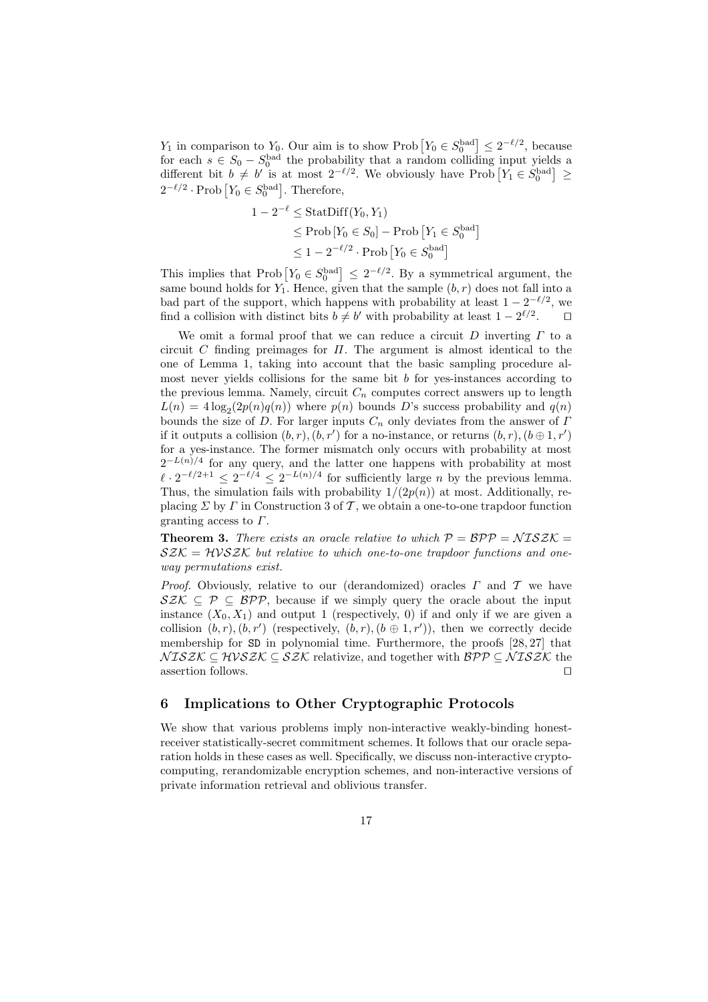$Y_1$  in comparison to  $Y_0$ . Our aim is to show Prob  $\left[Y_0 \in S_0^{\text{bad}}\right] \leq 2^{-\ell/2}$ , because for each  $s \in S_0 - S_0^{\text{bad}}$  the probability that a random colliding input yields a different bit  $b \neq b'$  is at most  $2^{-\ell/2}$ . We obviously have Prob  $[Y_1 \in S_0^{\text{bad}}] \geq$  $2^{-\ell/2} \cdot \text{Prob} \left[ Y_0 \in S_0^{\text{bad}} \right]$ . Therefore,

$$
1 - 2^{-\ell} \le \text{StatDiff}(Y_0, Y_1)
$$
  
\$\le \text{Prob}[Y\_0 \in S\_0] - \text{Prob}[Y\_1 \in S\_0^{\text{bad}}] \newline \le 1 - 2^{-\ell/2} \cdot \text{Prob}[Y\_0 \in S\_0^{\text{bad}}] \newline

This implies that  $\text{Prob}\left[Y_0 \in S_0^{\text{bad}}\right] \leq 2^{-\ell/2}$ . By a symmetrical argument, the same bound holds for  $Y_1$ . Hence, given that the sample  $(b, r)$  does not fall into a bad part of the support, which happens with probability at least  $1 - 2^{-\ell/2}$ , we find a collision with distinct bits  $b \neq b'$  with probability at least  $1 - 2^{\ell/2}$ .  $\Box$ 

We omit a formal proof that we can reduce a circuit  $D$  inverting  $\Gamma$  to a circuit C finding preimages for  $\Pi$ . The argument is almost identical to the one of Lemma 1, taking into account that the basic sampling procedure almost never yields collisions for the same bit  $b$  for yes-instances according to the previous lemma. Namely, circuit  $C_n$  computes correct answers up to length  $L(n) = 4 \log_2(2p(n)q(n))$  where  $p(n)$  bounds D's success probability and  $q(n)$ bounds the size of D. For larger inputs  $C_n$  only deviates from the answer of  $\Gamma$ if it outputs a collision  $(b, r), (b, r')$  for a no-instance, or returns  $(b, r), (b \oplus 1, r')$ for a yes-instance. The former mismatch only occurs with probability at most  $2^{-L(n)/4}$  for any query, and the latter one happens with probability at most  $\ell \cdot 2^{-\ell/2+1} \leq 2^{-\ell/4} \leq 2^{-L(n)/4}$  for sufficiently large *n* by the previous lemma. Thus, the simulation fails with probability  $1/(2p(n))$  at most. Additionally, replacing  $\Sigma$  by  $\Gamma$  in Construction 3 of  $\mathcal T$ , we obtain a one-to-one trapdoor function granting access to  $\Gamma$ .

**Theorem 3.** *There exists an oracle relative to which*  $P = BPP = NISZK =$ SZK = HVSZK *but relative to which one-to-one trapdoor functions and oneway permutations exist.*

*Proof.* Obviously, relative to our (derandomized) oracles  $\Gamma$  and  $\mathcal T$  we have  $\mathcal{SZK} \subseteq \mathcal{P} \subseteq \mathcal{BPP}$ , because if we simply query the oracle about the input instance  $(X_0, X_1)$  and output 1 (respectively, 0) if and only if we are given a collision  $(b, r), (b, r')$  (respectively,  $(b, r), (b \oplus 1, r')$ ), then we correctly decide membership for SD in polynomial time. Furthermore, the proofs [28, 27] that  $NISZK \subseteq \mathcal{HVSZK} \subseteq \mathcal{SZK}$  relativize, and together with  $\mathcal{BPP} \subseteq \mathcal{NISZK}$  the assertion follows. assertion follows.

## **6 Implications to Other Cryptographic Protocols**

We show that various problems imply non-interactive weakly-binding honestreceiver statistically-secret commitment schemes. It follows that our oracle separation holds in these cases as well. Specifically, we discuss non-interactive cryptocomputing, rerandomizable encryption schemes, and non-interactive versions of private information retrieval and oblivious transfer.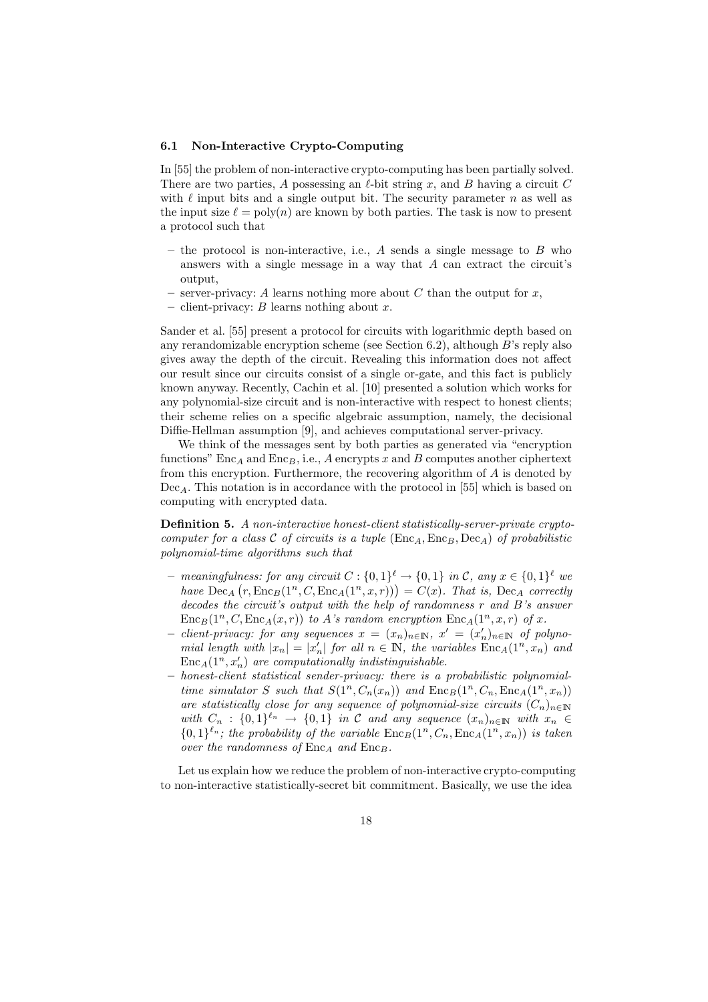#### **6.1 Non-Interactive Crypto-Computing**

In [55] the problem of non-interactive crypto-computing has been partially solved. There are two parties, A possessing an  $\ell$ -bit string x, and B having a circuit C with  $\ell$  input bits and a single output bit. The security parameter n as well as the input size  $\ell = \text{poly}(n)$  are known by both parties. The task is now to present a protocol such that

- **–** the protocol is non-interactive, i.e., A sends a single message to B who answers with a single message in a way that A can extract the circuit's output,
- server-privacy: A learns nothing more about  $C$  than the output for  $x$ ,
- **–** client-privacy: B learns nothing about x.

Sander et al. [55] present a protocol for circuits with logarithmic depth based on any rerandomizable encryption scheme (see Section 6.2), although B's reply also gives away the depth of the circuit. Revealing this information does not affect our result since our circuits consist of a single or-gate, and this fact is publicly known anyway. Recently, Cachin et al. [10] presented a solution which works for any polynomial-size circuit and is non-interactive with respect to honest clients; their scheme relies on a specific algebraic assumption, namely, the decisional Diffie-Hellman assumption [9], and achieves computational server-privacy.

We think of the messages sent by both parties as generated via "encryption functions" Enc<sub>A</sub> and Enc<sub>B</sub>, i.e., A encrypts x and B computes another ciphertext from this encryption. Furthermore, the recovering algorithm of A is denoted by  $Dec_A$ . This notation is in accordance with the protocol in [55] which is based on computing with encrypted data.

**Definition 5.** *A non-interactive honest-client statistically-server-private cryptocomputer for a class*  $C$  *of circuits is a tuple* ( $Enc_A, Enc_B, Dec_A$ ) *of probabilistic polynomial-time algorithms such that*

- $-$  *meaningfulness: for any circuit*  $C: \{0,1\}^{\ell} \to \{0,1\}$  *in*  $\mathcal{C}$ *, any*  $x \in \{0,1\}^{\ell}$  *we*  $have \ \text{Dec}_{A}\left(r, \text{Enc}_{B}(1^{n}, C, \text{Enc}_{A}(1^{n}, x, r))\right) = C(x)$ . That is,  $\text{Dec}_{A}$  *correctly decodes the circuit's output with the help of randomness* r *and* B*'s answer*  $\text{Enc}_{B}(1^{n}, C, \text{Enc}_{A}(x, r))$  *to A*'s random encryption  $\text{Enc}_{A}(1^{n}, x, r)$  *of x*.
- $\bar{u}$   *client-privacy: for any sequences*  $x = (x_n)_{n \in \mathbb{N}}$ ,  $x' = (x'_n)_{n \in \mathbb{N}}$  of polyno*mial length with*  $|x_n| = |x'_n|$  *for all*  $n \in \mathbb{N}$ *, the variables*  $\text{Enc}_{A}(1^n, x_n)$  *and*  $Enc_A(1^n, x'_n)$  are computationally indistinguishable.
- **–** *honest-client statistical sender-privacy: there is a probabilistic polynomialtime simulator* S *such that*  $S(1^n, C_n(x_n))$  *and*  $\text{Enc}_B(1^n, C_n, \text{Enc}_A(1^n, x_n))$ *are statistically close for any sequence of polynomial-size circuits*  $(C_n)_{n\in\mathbb{N}}$  $with C_n : \{0,1\}^{\ell_n} \rightarrow \{0,1\}$  *in* C *and any sequence*  $(x_n)_{n \in \mathbb{N}}$  *with*  $x_n \in$  $\{0,1\}^{\ell_n}$ ; the probability of the variable  $\text{Enc}_B(1^n, C_n, \text{Enc}_A(1^n, x_n))$  is taken *over the randomness of*  $Enc_A$  *and*  $Enc_B$ .

Let us explain how we reduce the problem of non-interactive crypto-computing to non-interactive statistically-secret bit commitment. Basically, we use the idea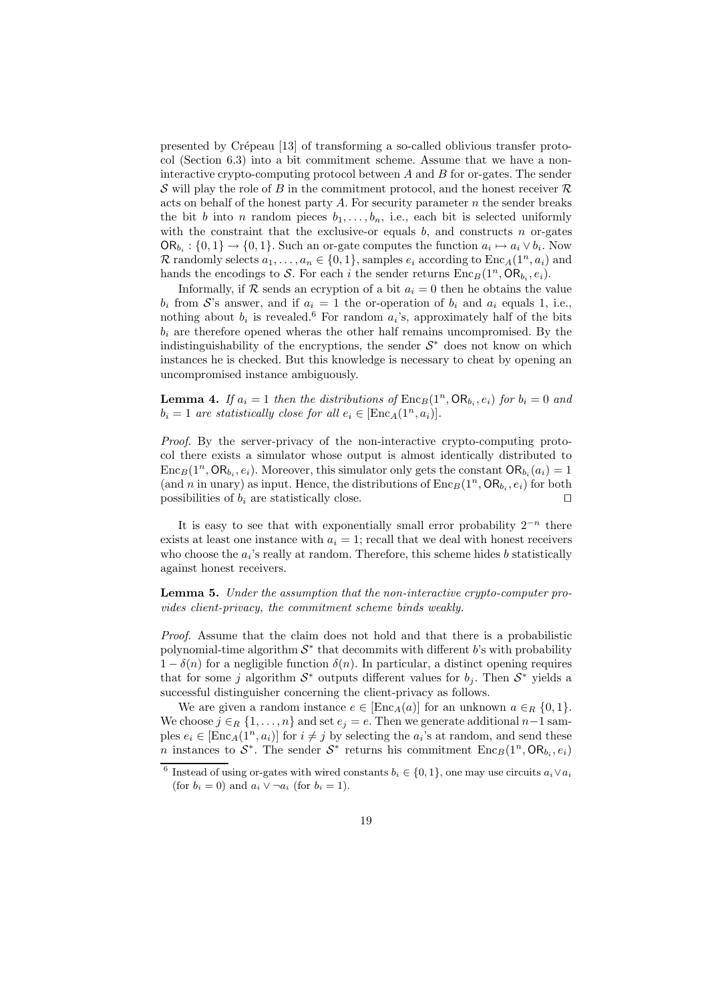presented by Crépeau [13] of transforming a so-called oblivious transfer protocol (Section 6.3) into a bit commitment scheme. Assume that we have a noninteractive crypto-computing protocol between  $A$  and  $B$  for or-gates. The sender S will play the role of B in the commitment protocol, and the honest receiver  $\mathcal R$ acts on behalf of the honest party  $A$ . For security parameter  $n$  the sender breaks the bit b into n random pieces  $b_1, \ldots, b_n$ , i.e., each bit is selected uniformly with the constraint that the exclusive-or equals  $b$ , and constructs  $n$  or-gates  $OR_{b_i}: \{0,1\} \rightarrow \{0,1\}$ . Such an or-gate computes the function  $a_i \mapsto a_i \vee b_i$ . Now R randomly selects  $a_1, \ldots, a_n \in \{0, 1\}$ , samples  $e_i$  according to  $\text{Enc}_{A}(1^n, a_i)$  and hands the encodings to S. For each i the sender returns  $\text{Enc}_B(1^n, \text{OR}_{b_i}, e_i)$ .

Informally, if  $R$  sends an ecryption of a bit  $a_i = 0$  then he obtains the value  $b_i$  from S's answer, and if  $a_i = 1$  the or-operation of  $b_i$  and  $a_i$  equals 1, i.e., nothing about  $b_i$  is revealed.<sup>6</sup> For random  $a_i$ 's, approximately half of the bits  $b_i$  are therefore opened wheras the other half remains uncompromised. By the indistinguishability of the encryptions, the sender  $S^*$  does not know on which instances he is checked. But this knowledge is necessary to cheat by opening an uncompromised instance ambiguously.

**Lemma 4.** If  $a_i = 1$  then the distributions of  $Enc_B(1^n, OR_{b_i}, e_i)$  for  $b_i = 0$  and  $b_i = 1$  *are statistically close for all*  $e_i \in [\text{Enc}_A(1^n, a_i)].$ 

*Proof.* By the server-privacy of the non-interactive crypto-computing protocol there exists a simulator whose output is almost identically distributed to  $\text{Enc}_B(1^n, \text{OR}_{b_i}, e_i)$ . Moreover, this simulator only gets the constant  $\text{OR}_{b_i}(a_i)=1$ (and *n* in unary) as input. Hence, the distributions of  $Enc_B(1^n, OR_{b_i}, e_i)$  for both possibilities of *b<sub>i</sub>* are statistically close. possibilities of  $b_i$  are statistically close.

It is easy to see that with exponentially small error probability  $2^{-n}$  there exists at least one instance with  $a_i = 1$ ; recall that we deal with honest receivers who choose the  $a_i$ 's really at random. Therefore, this scheme hides b statistically against honest receivers.

**Lemma 5.** *Under the assumption that the non-interactive crypto-computer provides client-privacy, the commitment scheme binds weakly.*

*Proof.* Assume that the claim does not hold and that there is a probabilistic polynomial-time algorithm  $S^*$  that decommits with different b's with probability  $1 - \delta(n)$  for a negligible function  $\delta(n)$ . In particular, a distinct opening requires that for some j algorithm  $S^*$  outputs different values for  $b_i$ . Then  $S^*$  yields a successful distinguisher concerning the client-privacy as follows.

We are given a random instance  $e \in [\text{Enc}_A(a)]$  for an unknown  $a \in_R \{0,1\}.$ We choose  $j \in_R \{1,\ldots,n\}$  and set  $e_j = e$ . Then we generate additional  $n-1$  samples  $e_i \in [\text{Enc}_{A}(1^n, a_i)]$  for  $i \neq j$  by selecting the  $a_i$ 's at random, and send these n instances to  $S^*$ . The sender  $S^*$  returns his commitment  $Enc_B(1^n, OR_{b_i}, e_i)$ 

<sup>&</sup>lt;sup>6</sup> Instead of using or-gates with wired constants  $b_i \in \{0, 1\}$ , one may use circuits  $a_i \vee a_i$ (for  $b_i = 0$ ) and  $a_i \vee \neg a_i$  (for  $b_i = 1$ ).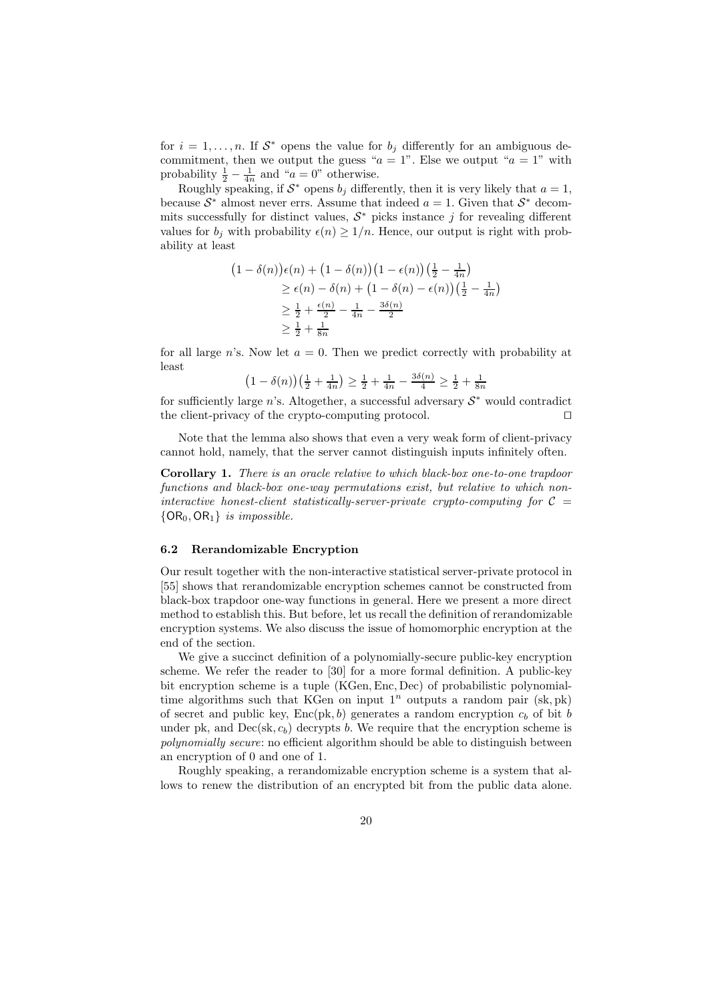for  $i = 1, \ldots, n$ . If  $S^*$  opens the value for  $b_i$  differently for an ambiguous decommitment, then we output the guess " $a = 1$ ". Else we output " $a = 1$ " with probability  $\frac{1}{2} - \frac{1}{4n}$  and "a = 0" otherwise.

Roughly speaking, if  $S^*$  opens  $b_j$  differently, then it is very likely that  $a = 1$ , because  $S^*$  almost never errs. Assume that indeed  $a = 1$ . Given that  $S^*$  decommits successfully for distinct values,  $S^*$  picks instance j for revealing different values for  $b_i$  with probability  $\epsilon(n) \geq 1/n$ . Hence, our output is right with probability at least

$$
(1 - \delta(n))\epsilon(n) + (1 - \delta(n)) (1 - \epsilon(n)) (\frac{1}{2} - \frac{1}{4n})
$$
  
\n
$$
\geq \epsilon(n) - \delta(n) + (1 - \delta(n) - \epsilon(n)) (\frac{1}{2} - \frac{1}{4n})
$$
  
\n
$$
\geq \frac{1}{2} + \frac{\epsilon(n)}{2} - \frac{1}{4n} - \frac{3\delta(n)}{2}
$$
  
\n
$$
\geq \frac{1}{2} + \frac{1}{8n}
$$

for all large n's. Now let  $a = 0$ . Then we predict correctly with probability at least

$$
(1 - \delta(n))\left(\frac{1}{2} + \frac{1}{4n}\right) \ge \frac{1}{2} + \frac{1}{4n} - \frac{3\delta(n)}{4} \ge \frac{1}{2} + \frac{1}{8n}
$$

for sufficiently large n's. Altogether, a successful adversary  $S^*$  would contradict<br>the client-privacy of the crypto-computing protocol the client-privacy of the crypto-computing protocol.

Note that the lemma also shows that even a very weak form of client-privacy cannot hold, namely, that the server cannot distinguish inputs infinitely often.

**Corollary 1.** *There is an oracle relative to which black-box one-to-one trapdoor functions and black-box one-way permutations exist, but relative to which noninteractive honest-client statistically-server-private crypto-computing for*  $C =$  $\{OR_0, OR_1\}$  *is impossible.* 

#### **6.2 Rerandomizable Encryption**

Our result together with the non-interactive statistical server-private protocol in [55] shows that rerandomizable encryption schemes cannot be constructed from black-box trapdoor one-way functions in general. Here we present a more direct method to establish this. But before, let us recall the definition of rerandomizable encryption systems. We also discuss the issue of homomorphic encryption at the end of the section.

We give a succinct definition of a polynomially-secure public-key encryption scheme. We refer the reader to [30] for a more formal definition. A public-key bit encryption scheme is a tuple (KGen,Enc, Dec) of probabilistic polynomialtime algorithms such that KGen on input  $1^n$  outputs a random pair  $(\text{sk}, \text{pk})$ of secret and public key,  $Enc(\mathrm{pk}, b)$  generates a random encryption  $c_b$  of bit b under pk, and  $Dec(sk, c<sub>b</sub>)$  decrypts b. We require that the encryption scheme is *polynomially secure*: no efficient algorithm should be able to distinguish between an encryption of 0 and one of 1.

Roughly speaking, a rerandomizable encryption scheme is a system that allows to renew the distribution of an encrypted bit from the public data alone.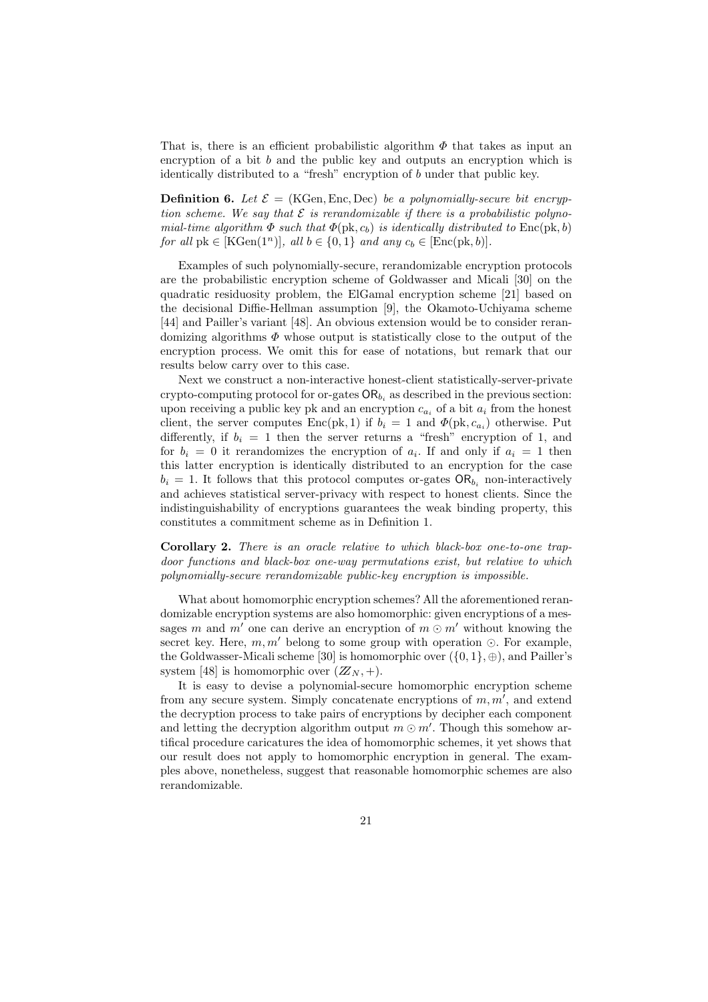That is, there is an efficient probabilistic algorithm  $\Phi$  that takes as input an encryption of a bit b and the public key and outputs an encryption which is identically distributed to a "fresh" encryption of b under that public key.

**Definition 6.** Let  $\mathcal{E} = (KGen, Enc, Dec)$  be a polynomially-secure bit encryp*tion scheme.* We say that  $\mathcal E$  is rerandomizable if there is a probabilistic polyno*mial-time algorithm*  $\Phi$  *such that*  $\Phi$ (pk, c<sub>b</sub>) *is identically distributed to* Enc(pk, b) *for all*  $pk \in [KGen(1^n)]$ *, all*  $b \in \{0, 1\}$  *and any*  $c_b \in [Enc(pk, b)]$ *.* 

Examples of such polynomially-secure, rerandomizable encryption protocols are the probabilistic encryption scheme of Goldwasser and Micali [30] on the quadratic residuosity problem, the ElGamal encryption scheme [21] based on the decisional Diffie-Hellman assumption [9], the Okamoto-Uchiyama scheme [44] and Pailler's variant [48]. An obvious extension would be to consider rerandomizing algorithms  $\Phi$  whose output is statistically close to the output of the encryption process. We omit this for ease of notations, but remark that our results below carry over to this case.

Next we construct a non-interactive honest-client statistically-server-private crypto-computing protocol for or-gates  $OR_{b_i}$  as described in the previous section: upon receiving a public key pk and an encryption  $c_{a_i}$  of a bit  $a_i$  from the honest client, the server computes Enc(pk, 1) if  $b_i = 1$  and  $\Phi$ (pk,  $c_{a_i}$ ) otherwise. Put differently, if  $b_i = 1$  then the server returns a "fresh" encryption of 1, and for  $b_i = 0$  it rerandomizes the encryption of  $a_i$ . If and only if  $a_i = 1$  then this latter encryption is identically distributed to an encryption for the case  $b_i = 1$ . It follows that this protocol computes or-gates  $OR_{b_i}$  non-interactively and achieves statistical server-privacy with respect to honest clients. Since the indistinguishability of encryptions guarantees the weak binding property, this constitutes a commitment scheme as in Definition 1.

**Corollary 2.** *There is an oracle relative to which black-box one-to-one trapdoor functions and black-box one-way permutations exist, but relative to which polynomially-secure rerandomizable public-key encryption is impossible.*

What about homomorphic encryption schemes? All the aforementioned rerandomizable encryption systems are also homomorphic: given encryptions of a messages m and m' one can derive an encryption of  $m \odot m'$  without knowing the secret key. Here,  $m, m'$  belong to some group with operation  $\odot$ . For example, the Goldwasser-Micali scheme [30] is homomorphic over  $(\{0,1\},\oplus)$ , and Pailler's system [48] is homomorphic over  $(\mathbb{Z}_N, +)$ .

It is easy to devise a polynomial-secure homomorphic encryption scheme from any secure system. Simply concatenate encryptions of  $m, m'$ , and extend the decryption process to take pairs of encryptions by decipher each component and letting the decryption algorithm output  $m \odot m'$ . Though this somehow artifical procedure caricatures the idea of homomorphic schemes, it yet shows that our result does not apply to homomorphic encryption in general. The examples above, nonetheless, suggest that reasonable homomorphic schemes are also rerandomizable.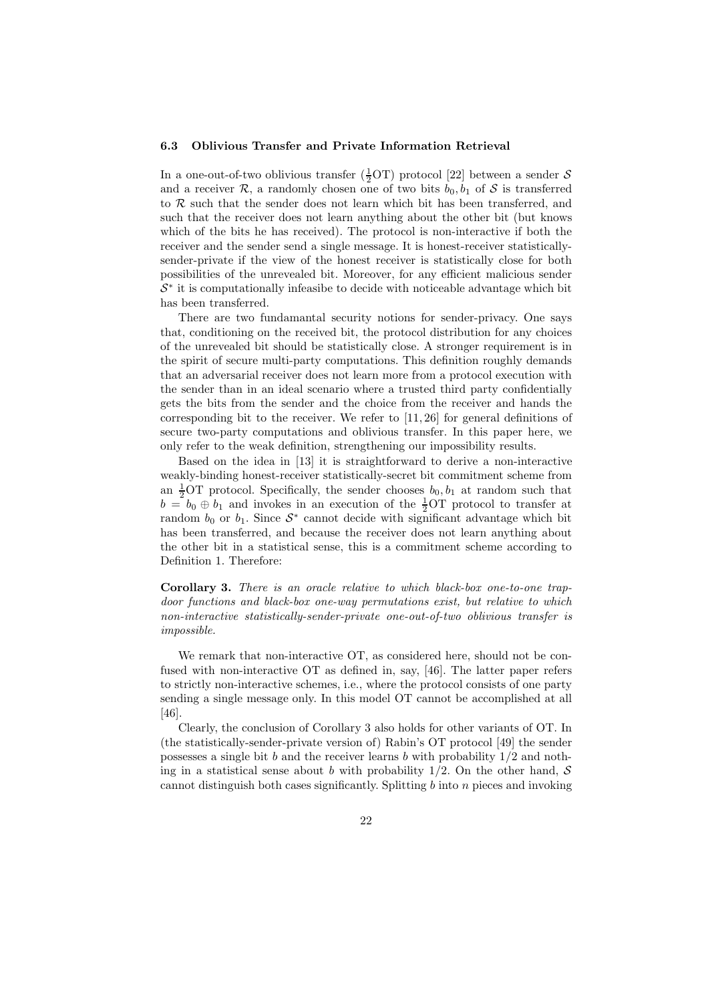#### **6.3 Oblivious Transfer and Private Information Retrieval**

In a one-out-of-two oblivious transfer  $(\frac{1}{2}\text{OT})$  protocol [22] between a sender  $\mathcal S$ and a receiver  $\mathcal{R}$ , a randomly chosen one of two bits  $b_0, b_1$  of S is transferred to  $\mathcal R$  such that the sender does not learn which bit has been transferred, and such that the receiver does not learn anything about the other bit (but knows which of the bits he has received). The protocol is non-interactive if both the receiver and the sender send a single message. It is honest-receiver statisticallysender-private if the view of the honest receiver is statistically close for both possibilities of the unrevealed bit. Moreover, for any efficient malicious sender  $S^*$  it is computationally infeasibe to decide with noticeable advantage which bit has been transferred.

There are two fundamantal security notions for sender-privacy. One says that, conditioning on the received bit, the protocol distribution for any choices of the unrevealed bit should be statistically close. A stronger requirement is in the spirit of secure multi-party computations. This definition roughly demands that an adversarial receiver does not learn more from a protocol execution with the sender than in an ideal scenario where a trusted third party confidentially gets the bits from the sender and the choice from the receiver and hands the corresponding bit to the receiver. We refer to [11, 26] for general definitions of secure two-party computations and oblivious transfer. In this paper here, we only refer to the weak definition, strengthening our impossibility results.

Based on the idea in [13] it is straightforward to derive a non-interactive weakly-binding honest-receiver statistically-secret bit commitment scheme from an  $\frac{1}{2}$ OT protocol. Specifically, the sender chooses  $b_0, b_1$  at random such that  $b = b_0 \oplus b_1$  and invokes in an execution of the  $\frac{1}{2}$ OT protocol to transfer at random  $b_0$  or  $b_1$ . Since  $S^*$  cannot decide with significant advantage which bit has been transferred, and because the receiver does not learn anything about the other bit in a statistical sense, this is a commitment scheme according to Definition 1. Therefore:

**Corollary 3.** *There is an oracle relative to which black-box one-to-one trapdoor functions and black-box one-way permutations exist, but relative to which non-interactive statistically-sender-private one-out-of-two oblivious transfer is impossible.*

We remark that non-interactive OT, as considered here, should not be confused with non-interactive OT as defined in, say, [46]. The latter paper refers to strictly non-interactive schemes, i.e., where the protocol consists of one party sending a single message only. In this model OT cannot be accomplished at all [46].

Clearly, the conclusion of Corollary 3 also holds for other variants of OT. In (the statistically-sender-private version of) Rabin's OT protocol [49] the sender possesses a single bit b and the receiver learns b with probability  $1/2$  and nothing in a statistical sense about b with probability  $1/2$ . On the other hand, S cannot distinguish both cases significantly. Splitting  $b$  into  $n$  pieces and invoking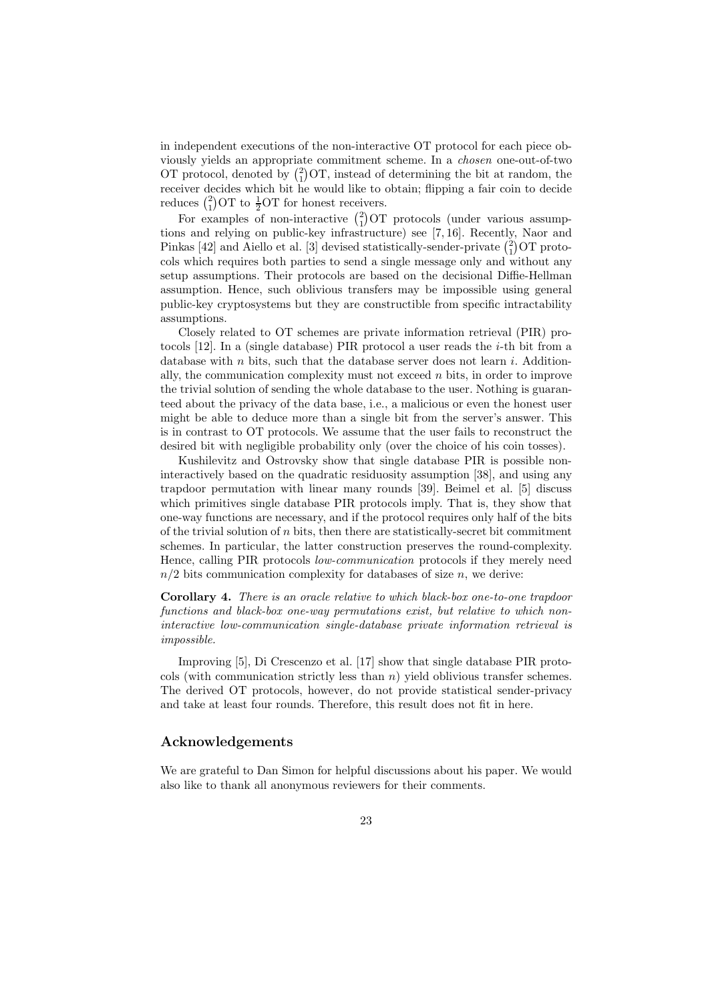in independent executions of the non-interactive OT protocol for each piece obviously yields an appropriate commitment scheme. In a *chosen* one-out-of-two OT protocol, denoted by  $\binom{2}{1}$ OT, instead of determining the bit at random, the receiver decides which bit he would like to obtain; flipping a fair coin to decide reduces  $\binom{2}{1}$ OT to  $\frac{1}{2}$ OT for honest receivers.

For examples of non-interactive  $\binom{2}{1}$ OT protocols (under various assumptions and relying on public-key infrastructure) see [7, 16]. Recently, Naor and Pinkas [42] and Aiello et al. [3] devised statistically-sender-private  $\binom{2}{1}$ OT protocols which requires both parties to send a single message only and without any setup assumptions. Their protocols are based on the decisional Diffie-Hellman assumption. Hence, such oblivious transfers may be impossible using general public-key cryptosystems but they are constructible from specific intractability assumptions.

Closely related to OT schemes are private information retrieval (PIR) protocols  $[12]$ . In a (single database) PIR protocol a user reads the *i*-th bit from a database with n bits, such that the database server does not learn i. Additionally, the communication complexity must not exceed  $n$  bits, in order to improve the trivial solution of sending the whole database to the user. Nothing is guaranteed about the privacy of the data base, i.e., a malicious or even the honest user might be able to deduce more than a single bit from the server's answer. This is in contrast to OT protocols. We assume that the user fails to reconstruct the desired bit with negligible probability only (over the choice of his coin tosses).

Kushilevitz and Ostrovsky show that single database PIR is possible noninteractively based on the quadratic residuosity assumption [38], and using any trapdoor permutation with linear many rounds [39]. Beimel et al. [5] discuss which primitives single database PIR protocols imply. That is, they show that one-way functions are necessary, and if the protocol requires only half of the bits of the trivial solution of  $n$  bits, then there are statistically-secret bit commitment schemes. In particular, the latter construction preserves the round-complexity. Hence, calling PIR protocols *low-communication* protocols if they merely need  $n/2$  bits communication complexity for databases of size n, we derive:

**Corollary 4.** *There is an oracle relative to which black-box one-to-one trapdoor functions and black-box one-way permutations exist, but relative to which noninteractive low-communication single-database private information retrieval is impossible.*

Improving [5], Di Crescenzo et al. [17] show that single database PIR protocols (with communication strictly less than  $n$ ) yield oblivious transfer schemes. The derived OT protocols, however, do not provide statistical sender-privacy and take at least four rounds. Therefore, this result does not fit in here.

#### **Acknowledgements**

We are grateful to Dan Simon for helpful discussions about his paper. We would also like to thank all anonymous reviewers for their comments.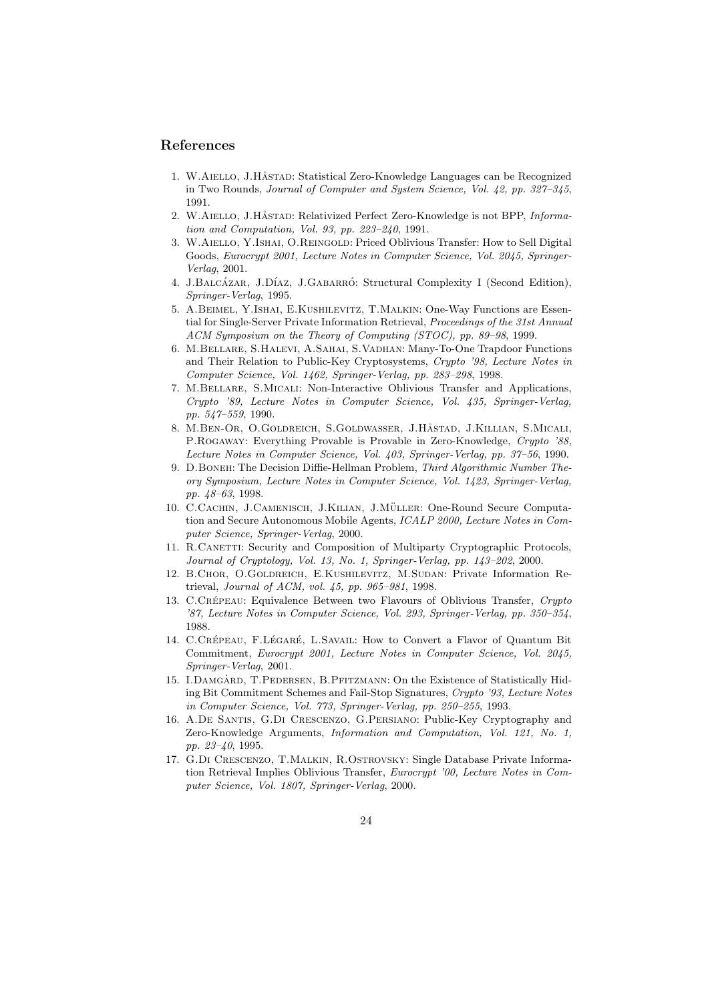## **References**

- 1. W.Aiello, J.H˚astad: Statistical Zero-Knowledge Languages can be Recognized in Two Rounds, *Journal of Computer and System Science, Vol. 42, pp. 327–345*, 1991.
- 2. W.Aiello, J.H˚astad: Relativized Perfect Zero-Knowledge is not BPP, *Information and Computation, Vol. 93, pp. 223–240*, 1991.
- 3. W.Aiello, Y.Ishai, O.Reingold: Priced Oblivious Transfer: How to Sell Digital Goods, *Eurocrypt 2001, Lecture Notes in Computer Science, Vol. 2045, Springer-Verlag*, 2001.
- 4. J.BALCÁZAR, J.DÍAZ, J.GABARRÓ: Structural Complexity I (Second Edition), *Springer-Verlag*, 1995.
- 5. A.Beimel, Y.Ishai, E.Kushilevitz, T.Malkin: One-Way Functions are Essential for Single-Server Private Information Retrieval, *Proceedings of the 31st Annual ACM Symposium on the Theory of Computing (STOC), pp. 89–98*, 1999.
- 6. M.Bellare, S.Halevi, A.Sahai, S.Vadhan: Many-To-One Trapdoor Functions and Their Relation to Public-Key Cryptosystems, *Crypto '98, Lecture Notes in Computer Science, Vol. 1462, Springer-Verlag, pp. 283–298*, 1998.
- 7. M.Bellare, S.Micali: Non-Interactive Oblivious Transfer and Applications, *Crypto '89, Lecture Notes in Computer Science, Vol. 435, Springer-Verlag, pp. 547–559*, 1990.
- 8. M.Ben-Or, O.Goldreich, S.Goldwasser, J.H˚astad, J.Killian, S.Micali, P.Rogaway: Everything Provable is Provable in Zero-Knowledge, *Crypto '88, Lecture Notes in Computer Science, Vol. 403, Springer-Verlag, pp. 37–56*, 1990.
- 9. D.Boneh: The Decision Diffie-Hellman Problem, *Third Algorithmic Number Theory Symposium, Lecture Notes in Computer Science, Vol. 1423, Springer-Verlag, pp. 48–63*, 1998.
- 10. C.CACHIN, J.CAMENISCH, J.KILIAN, J.MÜLLER: One-Round Secure Computation and Secure Autonomous Mobile Agents, *ICALP 2000, Lecture Notes in Computer Science, Springer-Verlag*, 2000.
- 11. R.Canetti: Security and Composition of Multiparty Cryptographic Protocols, *Journal of Cryptology, Vol. 13, No. 1, Springer-Verlag, pp. 143–202*, 2000.
- 12. B.Chor, O.Goldreich, E.Kushilevitz, M.Sudan: Private Information Retrieval, *Journal of ACM, vol. 45, pp. 965–981*, 1998.
- 13. C.CRÉPEAU: Equivalence Between two Flavours of Oblivious Transfer, *Crypto '87, Lecture Notes in Computer Science, Vol. 293, Springer-Verlag, pp. 350–354*, 1988.
- 14. C.CRÉPEAU, F.LÉGARÉ, L.SAVAIL: How to Convert a Flavor of Quantum Bit Commitment, *Eurocrypt 2001, Lecture Notes in Computer Science, Vol. 2045, Springer-Verlag*, 2001.
- 15. I.DAMGARD, T.PEDERSEN, B.PFITZMANN: On the Existence of Statistically Hiding Bit Commitment Schemes and Fail-Stop Signatures, *Crypto '93, Lecture Notes in Computer Science, Vol. 773, Springer-Verlag, pp. 250–255*, 1993.
- 16. A.De Santis, G.Di Crescenzo, G.Persiano: Public-Key Cryptography and Zero-Knowledge Arguments, *Information and Computation, Vol. 121, No. 1, pp. 23–40*, 1995.
- 17. G.Di Crescenzo, T.Malkin, R.Ostrovsky: Single Database Private Information Retrieval Implies Oblivious Transfer, *Eurocrypt '00, Lecture Notes in Computer Science, Vol. 1807, Springer-Verlag*, 2000.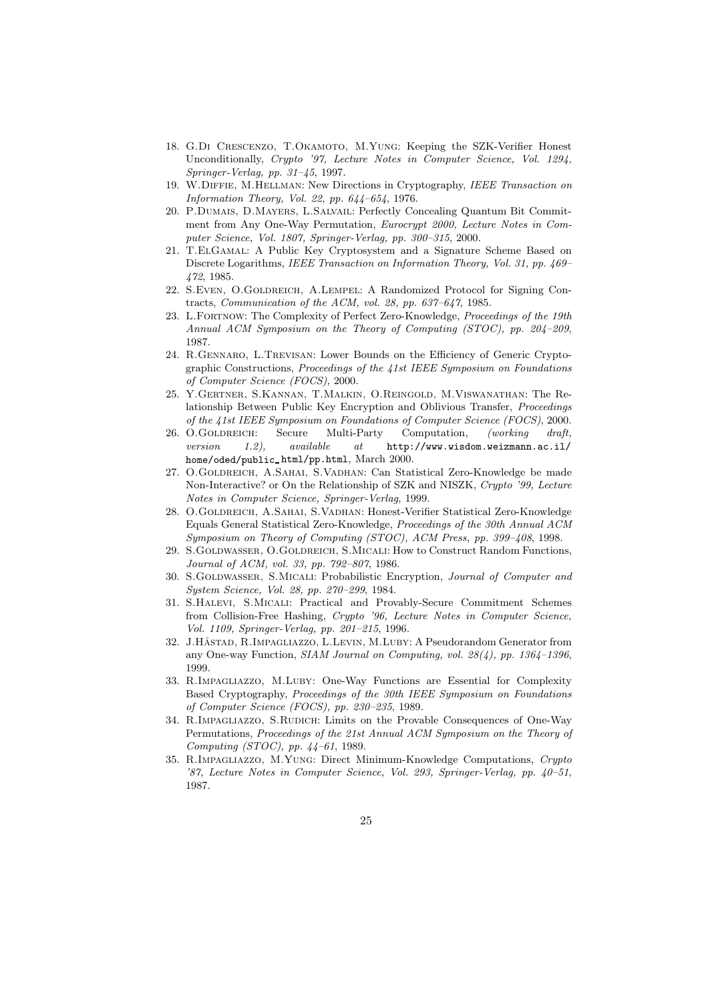- 18. G.DI CRESCENZO, T.OKAMOTO, M.YUNG: Keeping the SZK-Verifier Honest Unconditionally, *Crypto '97, Lecture Notes in Computer Science, Vol. 1294, Springer-Verlag, pp. 31–45*, 1997.
- 19. W.Diffie, M.Hellman: New Directions in Cryptography, *IEEE Transaction on Information Theory, Vol. 22, pp. 644–654*, 1976.
- 20. P.Dumais, D.Mayers, L.Salvail: Perfectly Concealing Quantum Bit Commitment from Any One-Way Permutation, *Eurocrypt 2000, Lecture Notes in Computer Science, Vol. 1807, Springer-Verlag, pp. 300–315*, 2000.
- 21. T.ElGamal: A Public Key Cryptosystem and a Signature Scheme Based on Discrete Logarithms, *IEEE Transaction on Information Theory, Vol. 31, pp. 469– 472*, 1985.
- 22. S.Even, O.Goldreich, A.Lempel: A Randomized Protocol for Signing Contracts, *Communication of the ACM, vol. 28, pp. 637–647*, 1985.
- 23. L.Fortnow: The Complexity of Perfect Zero-Knowledge, *Proceedings of the 19th Annual ACM Symposium on the Theory of Computing (STOC), pp. 204–209*, 1987.
- 24. R.Gennaro, L.Trevisan: Lower Bounds on the Efficiency of Generic Cryptographic Constructions, *Proceedings of the 41st IEEE Symposium on Foundations of Computer Science (FOCS)*, 2000.
- 25. Y.Gertner, S.Kannan, T.Malkin, O.Reingold, M.Viswanathan: The Relationship Between Public Key Encryption and Oblivious Transfer, *Proceedings of the 41st IEEE Symposium on Foundations of Computer Science (FOCS)*, 2000.
- 26. O.Goldreich: Secure Multi-Party Computation, *(working draft, version 1.2), available at* http://www.wisdom.weizmann.ac.il/ home/oded/public\_html/pp.html, March 2000.
- 27. O.Goldreich, A.Sahai, S.Vadhan: Can Statistical Zero-Knowledge be made Non-Interactive? or On the Relationship of SZK and NISZK, *Crypto '99, Lecture Notes in Computer Science, Springer-Verlag*, 1999.
- 28. O.Goldreich, A.Sahai, S.Vadhan: Honest-Verifier Statistical Zero-Knowledge Equals General Statistical Zero-Knowledge, *Proceedings of the 30th Annual ACM Symposium on Theory of Computing (STOC), ACM Press, pp. 399–408*, 1998.
- 29. S.Goldwasser, O.Goldreich, S.Micali: How to Construct Random Functions, *Journal of ACM, vol. 33, pp. 792–807*, 1986.
- 30. S.Goldwasser, S.Micali: Probabilistic Encryption, *Journal of Computer and System Science, Vol. 28, pp. 270–299*, 1984.
- 31. S.Halevi, S.Micali: Practical and Provably-Secure Commitment Schemes from Collision-Free Hashing, *Crypto '96, Lecture Notes in Computer Science, Vol. 1109, Springer-Verlag, pp. 201–215*, 1996.
- 32. J.HÅSTAD, R.IMPAGLIAZZO, L.LEVIN, M.LUBY: A Pseudorandom Generator from any One-way Function, *SIAM Journal on Computing, vol. 28(4), pp. 1364–1396*, 1999.
- 33. R.Impagliazzo, M.Luby: One-Way Functions are Essential for Complexity Based Cryptography, *Proceedings of the 30th IEEE Symposium on Foundations of Computer Science (FOCS), pp. 230–235*, 1989.
- 34. R.Impagliazzo, S.Rudich: Limits on the Provable Consequences of One-Way Permutations, *Proceedings of the 21st Annual ACM Symposium on the Theory of Computing (STOC), pp. 44–61*, 1989.
- 35. R.Impagliazzo, M.Yung: Direct Minimum-Knowledge Computations, *Crypto '87, Lecture Notes in Computer Science, Vol. 293, Springer-Verlag, pp. 40–51*, 1987.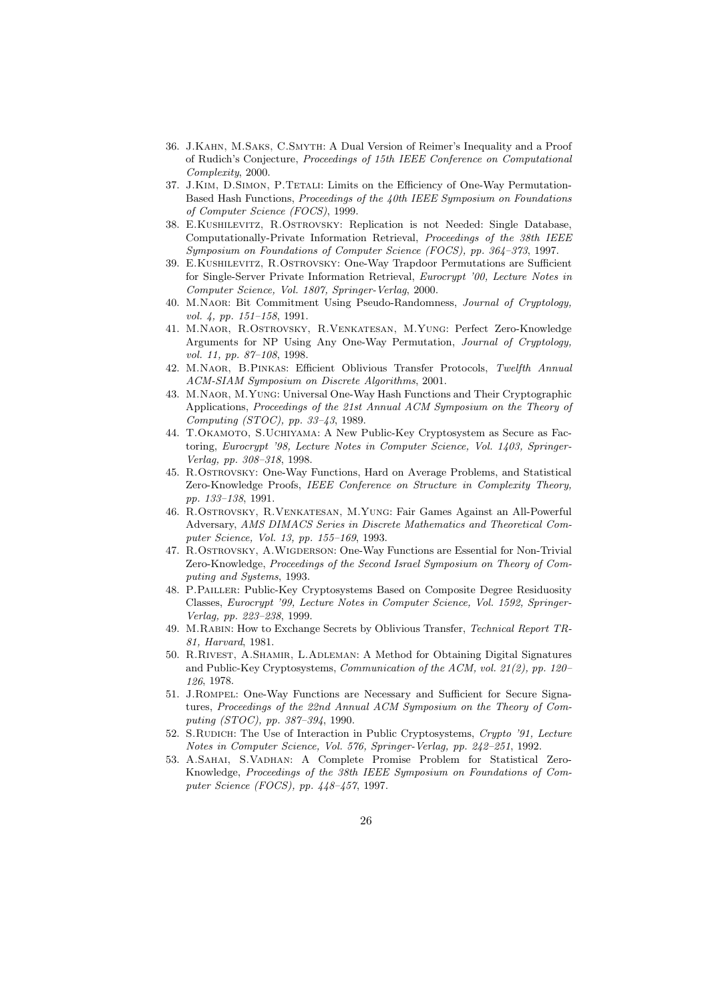- 36. J.Kahn, M.Saks, C.Smyth: A Dual Version of Reimer's Inequality and a Proof of Rudich's Conjecture, *Proceedings of 15th IEEE Conference on Computational Complexity*, 2000.
- 37. J.Kim, D.Simon, P.Tetali: Limits on the Efficiency of One-Way Permutation-Based Hash Functions, *Proceedings of the 40th IEEE Symposium on Foundations of Computer Science (FOCS)*, 1999.
- 38. E.Kushilevitz, R.Ostrovsky: Replication is not Needed: Single Database, Computationally-Private Information Retrieval, *Proceedings of the 38th IEEE Symposium on Foundations of Computer Science (FOCS), pp. 364–373*, 1997.
- 39. E.Kushilevitz, R.Ostrovsky: One-Way Trapdoor Permutations are Sufficient for Single-Server Private Information Retrieval, *Eurocrypt '00, Lecture Notes in Computer Science, Vol. 1807, Springer-Verlag*, 2000.
- 40. M.Naor: Bit Commitment Using Pseudo-Randomness, *Journal of Cryptology, vol. 4, pp. 151–158*, 1991.
- 41. M.Naor, R.Ostrovsky, R.Venkatesan, M.Yung: Perfect Zero-Knowledge Arguments for NP Using Any One-Way Permutation, *Journal of Cryptology, vol. 11, pp. 87–108*, 1998.
- 42. M.Naor, B.Pinkas: Efficient Oblivious Transfer Protocols, *Twelfth Annual ACM-SIAM Symposium on Discrete Algorithms*, 2001.
- 43. M.Naor, M.Yung: Universal One-Way Hash Functions and Their Cryptographic Applications, *Proceedings of the 21st Annual ACM Symposium on the Theory of Computing (STOC), pp. 33–43*, 1989.
- 44. T.Okamoto, S.Uchiyama: A New Public-Key Cryptosystem as Secure as Factoring, *Eurocrypt '98, Lecture Notes in Computer Science, Vol. 1403, Springer-Verlag, pp. 308–318*, 1998.
- 45. R.Ostrovsky: One-Way Functions, Hard on Average Problems, and Statistical Zero-Knowledge Proofs, *IEEE Conference on Structure in Complexity Theory, pp. 133–138*, 1991.
- 46. R.Ostrovsky, R.Venkatesan, M.Yung: Fair Games Against an All-Powerful Adversary, *AMS DIMACS Series in Discrete Mathematics and Theoretical Computer Science, Vol. 13, pp. 155–169*, 1993.
- 47. R.Ostrovsky, A.Wigderson: One-Way Functions are Essential for Non-Trivial Zero-Knowledge, *Proceedings of the Second Israel Symposium on Theory of Computing and Systems*, 1993.
- 48. P.Pailler: Public-Key Cryptosystems Based on Composite Degree Residuosity Classes, *Eurocrypt '99, Lecture Notes in Computer Science, Vol. 1592, Springer-Verlag, pp. 223–238*, 1999.
- 49. M.Rabin: How to Exchange Secrets by Oblivious Transfer, *Technical Report TR-81, Harvard*, 1981.
- 50. R.Rivest, A.Shamir, L.Adleman: A Method for Obtaining Digital Signatures and Public-Key Cryptosystems, *Communication of the ACM, vol. 21(2), pp. 120– 126*, 1978.
- 51. J.Rompel: One-Way Functions are Necessary and Sufficient for Secure Signatures, *Proceedings of the 22nd Annual ACM Symposium on the Theory of Computing (STOC), pp. 387–394*, 1990.
- 52. S.Rudich: The Use of Interaction in Public Cryptosystems, *Crypto '91, Lecture Notes in Computer Science, Vol. 576, Springer-Verlag, pp. 242–251*, 1992.
- 53. A.Sahai, S.Vadhan: A Complete Promise Problem for Statistical Zero-Knowledge, *Proceedings of the 38th IEEE Symposium on Foundations of Computer Science (FOCS), pp. 448–457*, 1997.